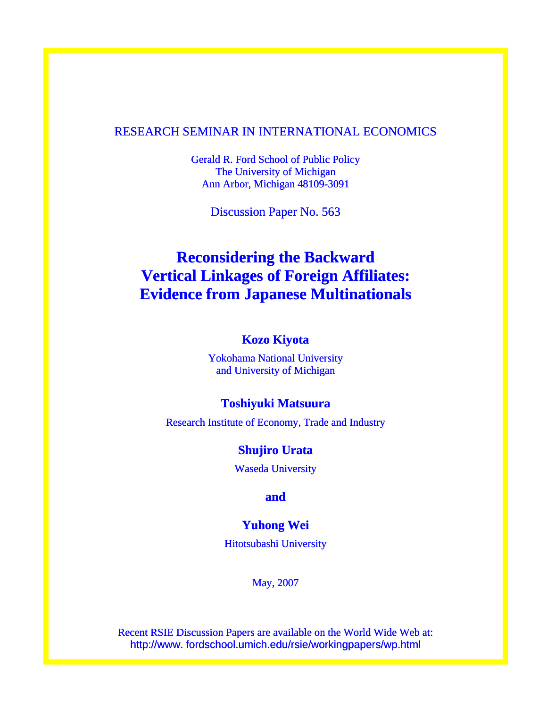# RESEARCH SEMINAR IN INTERNATIONAL ECONOMICS

Gerald R. Ford School of Public Policy The University of Michigan Ann Arbor, Michigan 48109-3091

Discussion Paper No. 563

# **Reconsidering the Backward Vertical Linkages of Foreign Affiliates: Evidence from Japanese Multinationals**

# **Kozo Kiyota**

Yokohama National University and University of Michigan

# **Toshiyuki Matsuura**

Research Institute of Economy, Trade and Industry

# **Shujiro Urata**

Waseda University

**and** 

# **Yuhong Wei**

Hitotsubashi University

May, 2007

Recent RSIE Discussion Papers are available on the World Wide Web at: http://www. fordschool.umich.edu/rsie/workingpapers/wp.html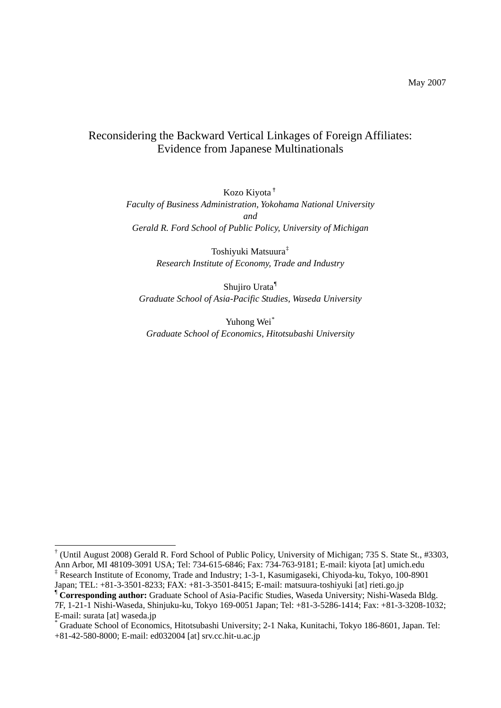# Reconsidering the Backward Vertical Linkages of Foreign Affiliates: Evidence from Japanese Multinationals

Kozo Kiyota[†](#page-1-0) *Faculty of Business Administration, Yokohama National University and Gerald R. Ford School of Public Policy, University of Michigan* 

> Toshiyuki Matsuura[‡](#page-1-1) *Research Institute of Economy, Trade and Industry*

Shujiro Urata[¶](#page-1-2) *Graduate School of Asia-Pacific Studies, Waseda University* 

Yuhong Wei<sup>[\\*](#page-1-3)</sup> *Graduate School of Economics, Hitotsubashi University* 

 $\overline{a}$ 

<span id="page-1-0"></span><sup>†</sup> (Until August 2008) Gerald R. Ford School of Public Policy, University of Michigan; 735 S. State St., #3303, Ann Arbor, MI 48109-3091 USA; Tel: 734-615-6846; Fax: 734-763-9181; E-mail: kiyota [at] umich.edu ‡ <sup>‡</sup> Research Institute of Economy, Trade and Industry; 1-3-1, Kasumigaseki, Chiyoda-ku, Tokyo, 100-8901 Japan; TEL: +81-3-3501-8233; FAX: +81-3-3501-8415; E-mail: matsuura-toshiyuki [at] rieti.go.jp

<span id="page-1-2"></span><span id="page-1-1"></span><sup>¶</sup> **Corresponding author:** Graduate School of Asia-Pacific Studies, Waseda University; Nishi-Waseda Bldg. 7F, 1-21-1 Nishi-Waseda, Shinjuku-ku, Tokyo 169-0051 Japan; Tel: +81-3-5286-1414; Fax: +81-3-3208-1032; E-mail: surata [at] waseda.jp

<span id="page-1-3"></span><sup>\*</sup> Graduate School of Economics, Hitotsubashi University; 2-1 Naka, Kunitachi, Tokyo 186-8601, Japan. Tel: +81-42-580-8000; E-mail: ed032004 [at] srv.cc.hit-u.ac.jp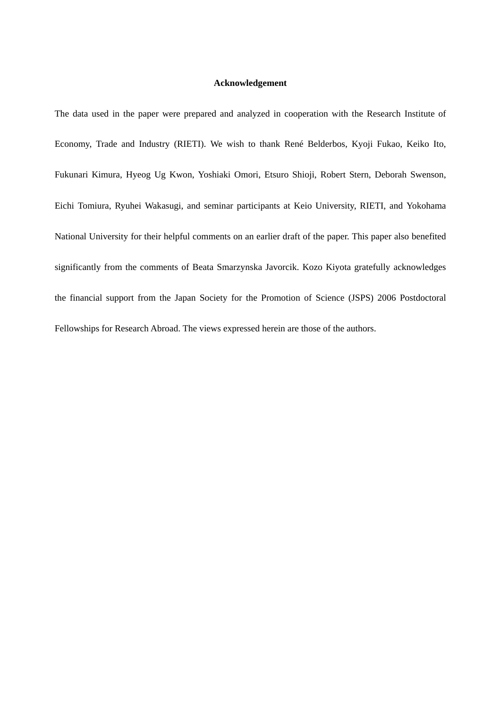# **Acknowledgement**

The data used in the paper were prepared and analyzed in cooperation with the Research Institute of Economy, Trade and Industry (RIETI). We wish to thank René Belderbos, Kyoji Fukao, Keiko Ito, Fukunari Kimura, Hyeog Ug Kwon, Yoshiaki Omori, Etsuro Shioji, Robert Stern, Deborah Swenson, Eichi Tomiura, Ryuhei Wakasugi, and seminar participants at Keio University, RIETI, and Yokohama National University for their helpful comments on an earlier draft of the paper. This paper also benefited significantly from the comments of Beata Smarzynska Javorcik. Kozo Kiyota gratefully acknowledges the financial support from the Japan Society for the Promotion of Science (JSPS) 2006 Postdoctoral Fellowships for Research Abroad. The views expressed herein are those of the authors.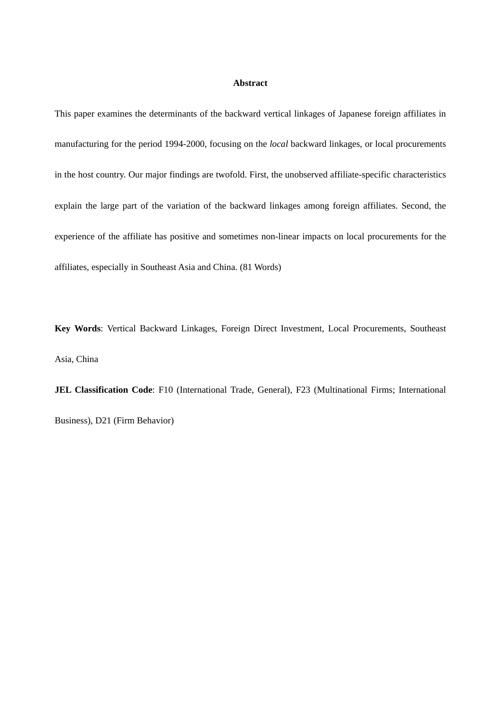# **Abstract**

This paper examines the determinants of the backward vertical linkages of Japanese foreign affiliates in manufacturing for the period 1994-2000, focusing on the *local* backward linkages, or local procurements in the host country. Our major findings are twofold. First, the unobserved affiliate-specific characteristics explain the large part of the variation of the backward linkages among foreign affiliates. Second, the experience of the affiliate has positive and sometimes non-linear impacts on local procurements for the affiliates, especially in Southeast Asia and China. (81 Words)

**Key Words**: Vertical Backward Linkages, Foreign Direct Investment, Local Procurements, Southeast Asia, China

**JEL Classification Code**: F10 (International Trade, General), F23 (Multinational Firms; International Business), D21 (Firm Behavior)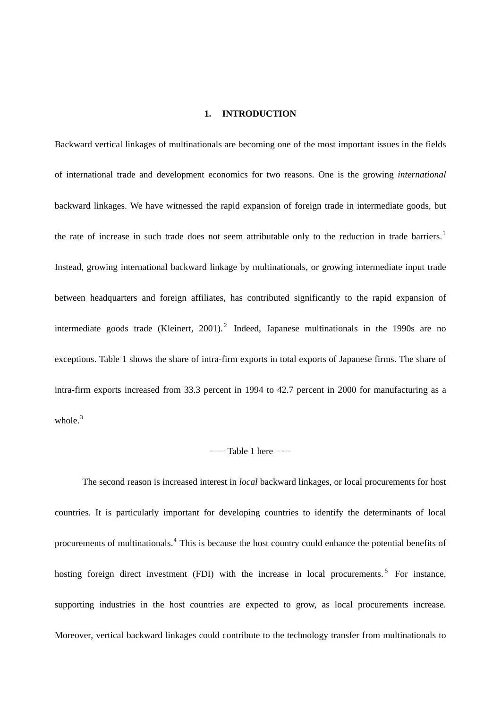# **1. INTRODUCTION**

Backward vertical linkages of multinationals are becoming one of the most important issues in the fields of international trade and development economics for two reasons. One is the growing *international* backward linkages. We have witnessed the rapid expansion of foreign trade in intermediate goods, but the rate of increase in such trade does not seem attributable only to the reduction in trade barriers.<sup>[1](#page-29-0)</sup> Instead, growing international backward linkage by multinationals, or growing intermediate input trade between headquarters and foreign affiliates, has contributed significantly to the rapid expansion of intermediate goods trade (Kleinert, [2](#page-29-1)001).<sup>2</sup> Indeed, Japanese multinationals in the 1990s are no exceptions. Table 1 shows the share of intra-firm exports in total exports of Japanese firms. The share of intra-firm exports increased from 33.3 percent in 1994 to 42.7 percent in 2000 for manufacturing as a whole. $3$ 

# $==$ Table 1 here  $==$

The second reason is increased interest in *local* backward linkages, or local procurements for host countries. It is particularly important for developing countries to identify the determinants of local procurements of multinationals.<sup>[4](#page-29-1)</sup> This is because the host country could enhance the potential benefits of hosting foreign direct investment (FDI) with the increase in local procurements.<sup>[5](#page-29-1)</sup> For instance, supporting industries in the host countries are expected to grow, as local procurements increase. Moreover, vertical backward linkages could contribute to the technology transfer from multinationals to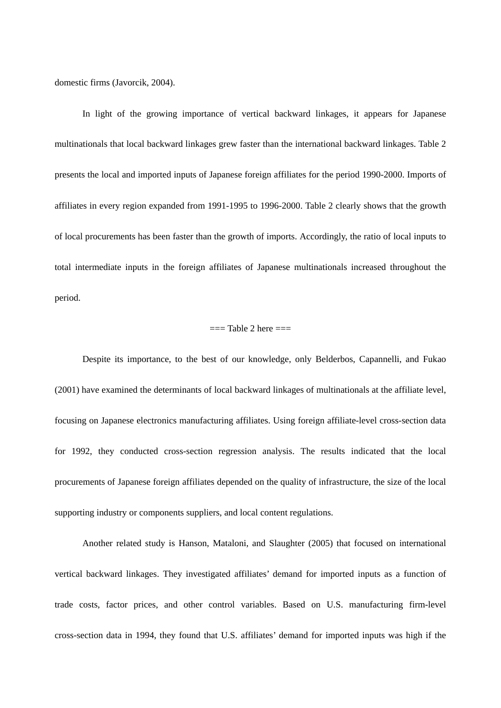domestic firms (Javorcik, 2004).

In light of the growing importance of vertical backward linkages, it appears for Japanese multinationals that local backward linkages grew faster than the international backward linkages. Table 2 presents the local and imported inputs of Japanese foreign affiliates for the period 1990-2000. Imports of affiliates in every region expanded from 1991-1995 to 1996-2000. Table 2 clearly shows that the growth of local procurements has been faster than the growth of imports. Accordingly, the ratio of local inputs to total intermediate inputs in the foreign affiliates of Japanese multinationals increased throughout the period.

# $==$ Table 2 here  $==$

Despite its importance, to the best of our knowledge, only Belderbos, Capannelli, and Fukao (2001) have examined the determinants of local backward linkages of multinationals at the affiliate level, focusing on Japanese electronics manufacturing affiliates. Using foreign affiliate-level cross-section data for 1992, they conducted cross-section regression analysis. The results indicated that the local procurements of Japanese foreign affiliates depended on the quality of infrastructure, the size of the local supporting industry or components suppliers, and local content regulations.

Another related study is Hanson, Mataloni, and Slaughter (2005) that focused on international vertical backward linkages. They investigated affiliates' demand for imported inputs as a function of trade costs, factor prices, and other control variables. Based on U.S. manufacturing firm-level cross-section data in 1994, they found that U.S. affiliates' demand for imported inputs was high if the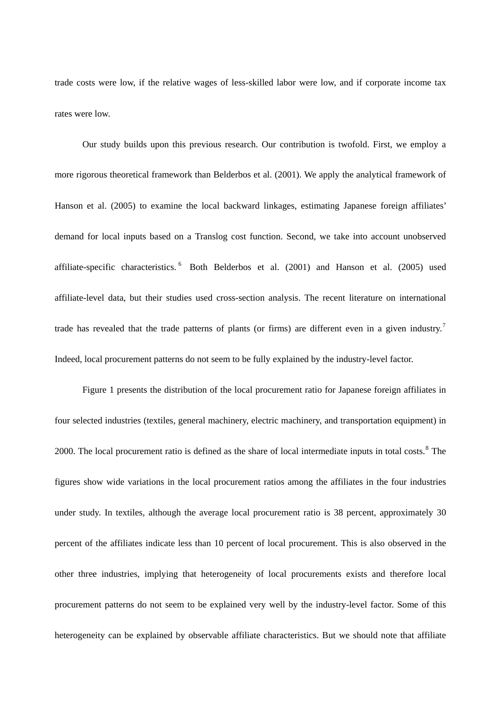trade costs were low, if the relative wages of less-skilled labor were low, and if corporate income tax rates were low.

Our study builds upon this previous research. Our contribution is twofold. First, we employ a more rigorous theoretical framework than Belderbos et al. (2001). We apply the analytical framework of Hanson et al. (2005) to examine the local backward linkages, estimating Japanese foreign affiliates' demand for local inputs based on a Translog cost function. Second, we take into account unobserved affiliate-specific characteristics.  $6$  Both Belderbos et al. (2001) and Hanson et al. (2005) used affiliate-level data, but their studies used cross-section analysis. The recent literature on international trade has revealed that the trade patterns of plants (or firms) are different even in a given industry.<sup>[7](#page-29-1)</sup> Indeed, local procurement patterns do not seem to be fully explained by the industry-level factor.

Figure 1 presents the distribution of the local procurement ratio for Japanese foreign affiliates in four selected industries (textiles, general machinery, electric machinery, and transportation equipment) in 2000. The local procurement ratio is defined as the share of local intermediate inputs in total costs.<sup>[8](#page-29-1)</sup> The figures show wide variations in the local procurement ratios among the affiliates in the four industries under study. In textiles, although the average local procurement ratio is 38 percent, approximately 30 percent of the affiliates indicate less than 10 percent of local procurement. This is also observed in the other three industries, implying that heterogeneity of local procurements exists and therefore local procurement patterns do not seem to be explained very well by the industry-level factor. Some of this heterogeneity can be explained by observable affiliate characteristics. But we should note that affiliate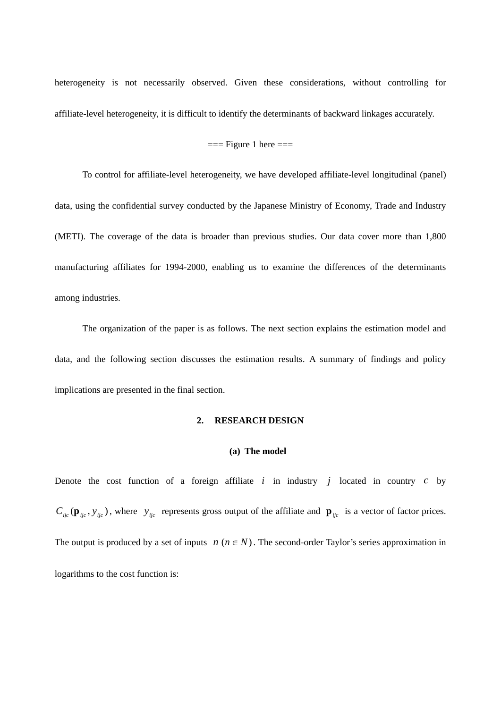heterogeneity is not necessarily observed. Given these considerations, without controlling for affiliate-level heterogeneity, it is difficult to identify the determinants of backward linkages accurately.

# $==$  Figure 1 here  $==$

To control for affiliate-level heterogeneity, we have developed affiliate-level longitudinal (panel) data, using the confidential survey conducted by the Japanese Ministry of Economy, Trade and Industry (METI). The coverage of the data is broader than previous studies. Our data cover more than 1,800 manufacturing affiliates for 1994-2000, enabling us to examine the differences of the determinants among industries.

The organization of the paper is as follows. The next section explains the estimation model and data, and the following section discusses the estimation results. A summary of findings and policy implications are presented in the final section.

# **2. RESEARCH DESIGN**

# **(a) The model**

Denote the cost function of a foreign affiliate  $i$  in industry  $j$  located in country  $c$  by  $C_{ijc}(\mathbf{p}_{ijc}, y_{ijc})$ , where  $y_{ijc}$  represents gross output of the affiliate and  $\mathbf{p}_{ijc}$  is a vector of factor prices. The output is produced by a set of inputs  $n (n \in N)$ . The second-order Taylor's series approximation in logarithms to the cost function is: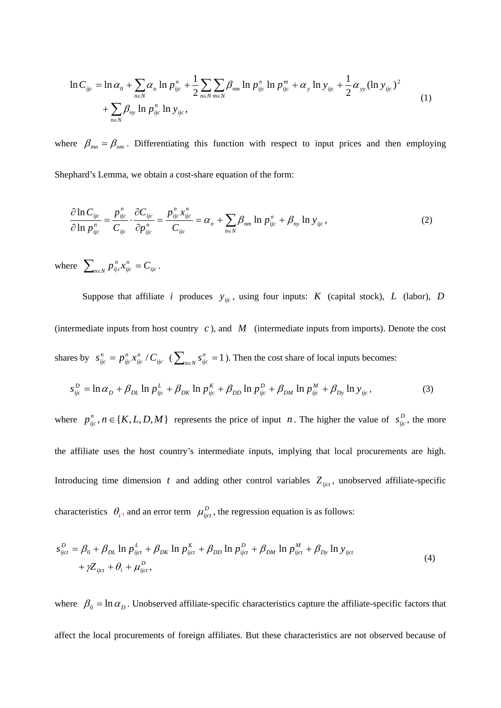$$
\ln C_{ijc} = \ln \alpha_0 + \sum_{n \in N} \alpha_n \ln p_{ijc}^n + \frac{1}{2} \sum_{n \in N} \sum_{m \in N} \beta_{nm} \ln p_{ijc}^m \ln p_{ijc}^m + \alpha_y \ln y_{ijc} + \frac{1}{2} \alpha_{yy} (\ln y_{ijc})^2 + \sum_{n \in N} \beta_{ny} \ln p_{ijc}^n \ln y_{ijc},
$$
\n(1)

where  $\beta_{mn} = \beta_{nm}$ . Differentiating this function with respect to input prices and then employing

Shephard's Lemma, we obtain a cost-share equation of the form:

$$
\frac{\partial \ln C_{ijc}}{\partial \ln p_{ijc}^n} = \frac{p_{ijc}^n}{C_{ijc}} \cdot \frac{\partial C_{ijc}}{\partial p_{ijc}^n} = \frac{p_{ijc}^n x_{ijc}^n}{C_{ijc}} = \alpha_n + \sum_{n \in \mathbb{N}} \beta_{nm} \ln p_{ijc}^n + \beta_{ny} \ln y_{ijc}, \qquad (2)
$$

where  $\sum_{n \in N} p_{ijc}^n x_{ijc}^n = C_{ijc}$ . *ijc*  $\sum_{n \in \mathbb{N}} p_{ijc}^n x_{ijc}^n = C$ 

Suppose that affiliate *i* produces  $y_{ijc}$ , using four inputs: *K* (capital stock), *L* (labor), *D* (intermediate inputs from host country  $c$ ), and  $M$  (intermediate inputs from imports). Denote the cost shares by  $s_{ijc}^n = p_{ijc}^n x_{ijc}^n / C_{ijc}$  ( $\sum_{n \in \mathbb{N}} s_{ijc}^n = 1$ ). Then the cost share of local inputs becomes: *ijc n ijc*  $s_{ijc}^{n} = p_{ijc}^{n} x_{ijc}^{n} / C_{ijc}$  ( $\sum_{n \in N} s_{ijc}^{n} = 1$ 

$$
s_{ijc}^D = \ln \alpha_D + \beta_{DL} \ln p_{ijc}^L + \beta_{DK} \ln p_{ijc}^K + \beta_{DD} \ln p_{ijc}^D + \beta_{DM} \ln p_{ijc}^M + \beta_{Dy} \ln y_{ijc},
$$
(3)

where  $p_{ijc}^n$ ,  $n \in \{K, L, D, M\}$  represents the price of input *n*. The higher the value of  $s_{ijc}^D$ , the more the affiliate uses the host country's intermediate inputs, implying that local procurements are high. Introducing time dimension t and adding other control variables  $Z_{ijct}$ , unobserved affiliate-specific characteristics  $\theta_i$ , and an error term  $\mu_{ijct}^D$ , the regression equation is as follows:

$$
s_{ijct}^D = \beta_0 + \beta_{DL} \ln p_{ijct}^L + \beta_{DK} \ln p_{ijct}^K + \beta_{DD} \ln p_{ijct}^D + \beta_{DM} \ln p_{ijct}^M + \beta_{Dy} \ln y_{ijct} + \gamma Z_{ijct} + \theta_i + \mu_{ijct}^D,
$$
\n
$$
(4)
$$

where  $\beta_0 = \ln \alpha_D$ . Unobserved affiliate-specific characteristics capture the affiliate-specific factors that affect the local procurements of foreign affiliates. But these characteristics are not observed because of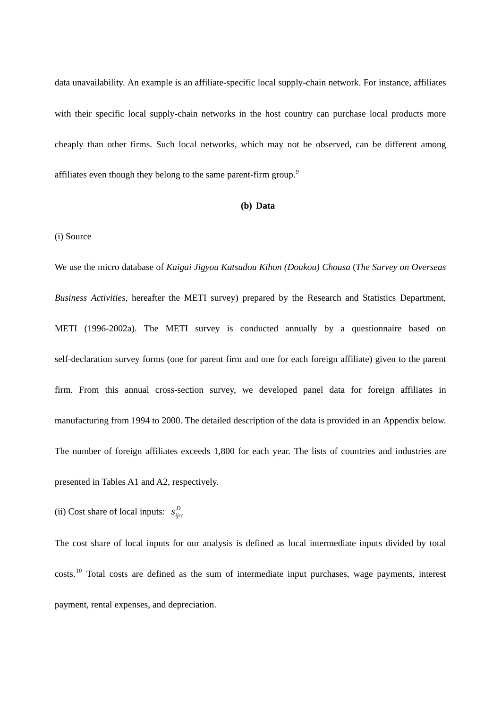data unavailability. An example is an affiliate-specific local supply-chain network. For instance, affiliates with their specific local supply-chain networks in the host country can purchase local products more cheaply than other firms. Such local networks, which may not be observed, can be different among affiliates even though they belong to the same parent-firm group.<sup>[9](#page-29-1)</sup>

# **(b) Data**

# (i) Source

We use the micro database of *Kaigai Jigyou Katsudou Kihon (Doukou) Chousa* (*The Survey on Overseas Business Activities*, hereafter the METI survey) prepared by the Research and Statistics Department, METI (1996-2002a). The METI survey is conducted annually by a questionnaire based on self-declaration survey forms (one for parent firm and one for each foreign affiliate) given to the parent firm. From this annual cross-section survey, we developed panel data for foreign affiliates in manufacturing from 1994 to 2000. The detailed description of the data is provided in an Appendix below. The number of foreign affiliates exceeds 1,800 for each year. The lists of countries and industries are presented in Tables A1 and A2, respectively.

(ii) Cost share of local inputs:  $s_{ijct}^D$ 

The cost share of local inputs for our analysis is defined as local intermediate inputs divided by total costs.<sup>[10](#page-29-1)</sup> Total costs are defined as the sum of intermediate input purchases, wage payments, interest payment, rental expenses, and depreciation.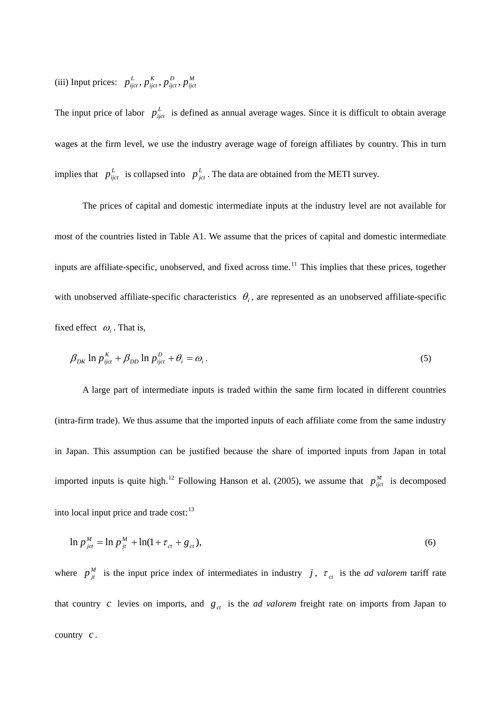(iii) Input prices:  $p_{ijct}^L$ ,  $p_{ijct}^K$ ,  $p_{ijct}^D$ ,  $p_{ijct}^M$ *D ijct K ijct*  $p^L_{ijct}$  ,  $p^R_{ijct}$  ,  $p^D_{ijct}$  ,  $p$ 

The input price of labor  $p_{ijct}^L$  is defined as annual average wages. Since it is difficult to obtain average wages at the firm level, we use the industry average wage of foreign affiliates by country. This in turn implies that  $p_{ijct}^L$  is collapsed into  $p_{jct}^L$ . The data are obtained from the METI survey.

The prices of capital and domestic intermediate inputs at the industry level are not available for most of the countries listed in Table A1. We assume that the prices of capital and domestic intermediate inputs are affiliate-specific, unobserved, and fixed across time.<sup>[11](#page-29-1)</sup> This implies that these prices, together with unobserved affiliate-specific characteristics  $\theta_i$ , are represented as an unobserved affiliate-specific fixed effect  $\omega_i$ . That is,

$$
\beta_{DK} \ln p_{ijct}^K + \beta_{DD} \ln p_{ijct}^D + \theta_i = \omega_i.
$$
\n<sup>(5)</sup>

A large part of intermediate inputs is traded within the same firm located in different countries (intra-firm trade). We thus assume that the imported inputs of each affiliate come from the same industry in Japan. This assumption can be justified because the share of imported inputs from Japan in total imported inputs is quite high.<sup>[12](#page-29-1)</sup> Following Hanson et al. (2005), we assume that  $p_{ijct}^M$  is decomposed into local input price and trade cost:<sup>[13](#page-29-1)</sup>

$$
\ln p_{\,jt}^M = \ln p_{\,jt}^M + \ln(1 + \tau_{\,ct} + g_{\,ct}),\tag{6}
$$

where  $p_{ji}^M$  is the input price index of intermediates in industry *j*,  $\tau_{ct}$  is the *ad valorem* tariff rate that country c levies on imports, and  $g_c$  is the *ad valorem* freight rate on imports from Japan to country  $c$ .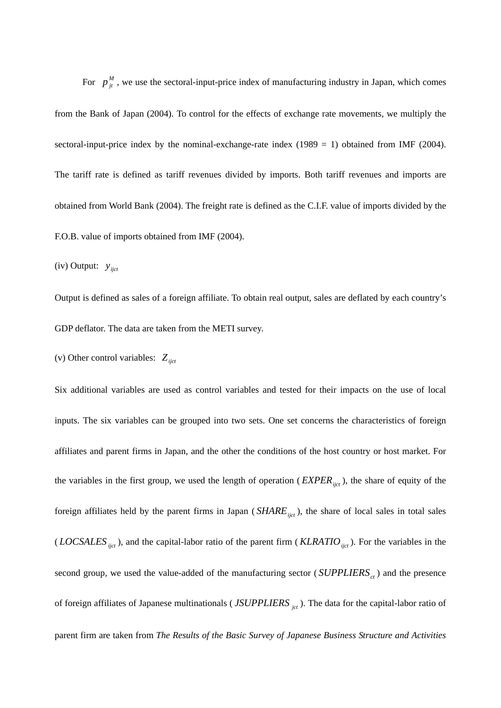For  $p_{it}^M$ , we use the sectoral-input-price index of manufacturing industry in Japan, which comes from the Bank of Japan (2004). To control for the effects of exchange rate movements, we multiply the sectoral-input-price index by the nominal-exchange-rate index  $(1989 = 1)$  obtained from IMF (2004). The tariff rate is defined as tariff revenues divided by imports. Both tariff revenues and imports are obtained from World Bank (2004). The freight rate is defined as the C.I.F. value of imports divided by the F.O.B. value of imports obtained from IMF (2004).

(iv) Output:  $y_{ijct}$ 

Output is defined as sales of a foreign affiliate. To obtain real output, sales are deflated by each country's GDP deflator. The data are taken from the METI survey.

(v) Other control variables:  $Z_{ijct}$ 

Six additional variables are used as control variables and tested for their impacts on the use of local inputs. The six variables can be grouped into two sets. One set concerns the characteristics of foreign affiliates and parent firms in Japan, and the other the conditions of the host country or host market. For the variables in the first group, we used the length of operation ( $EXPER_{ijct}$ ), the share of equity of the foreign affiliates held by the parent firms in Japan  $(SHARE<sub>ijct</sub>)$ , the share of local sales in total sales (*LOCSALES*  $_{ijct}$ ), and the capital-labor ratio of the parent firm (*KLRATIO*  $_{ijct}$ ). For the variables in the second group, we used the value-added of the manufacturing sector  $(SUPPLIERS_{ct})$  and the presence of foreign affiliates of Japanese multinationals (*JSUPPLIERS*<sub>*jct*</sub>). The data for the capital-labor ratio of parent firm are taken from *The Results of the Basic Survey of Japanese Business Structure and Activities*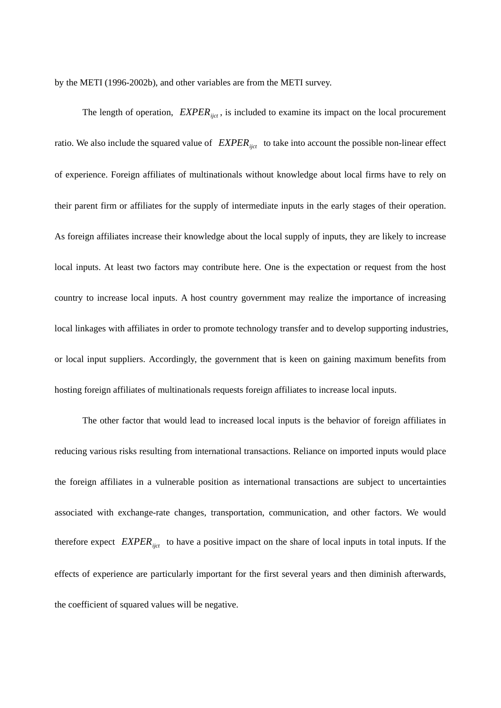by the METI (1996-2002b), and other variables are from the METI survey.

The length of operation,  $EXPER_{ijct}$ , is included to examine its impact on the local procurement ratio. We also include the squared value of  $EXPER_{ijct}$  to take into account the possible non-linear effect of experience. Foreign affiliates of multinationals without knowledge about local firms have to rely on their parent firm or affiliates for the supply of intermediate inputs in the early stages of their operation. As foreign affiliates increase their knowledge about the local supply of inputs, they are likely to increase local inputs. At least two factors may contribute here. One is the expectation or request from the host country to increase local inputs. A host country government may realize the importance of increasing local linkages with affiliates in order to promote technology transfer and to develop supporting industries, or local input suppliers. Accordingly, the government that is keen on gaining maximum benefits from hosting foreign affiliates of multinationals requests foreign affiliates to increase local inputs.

The other factor that would lead to increased local inputs is the behavior of foreign affiliates in reducing various risks resulting from international transactions. Reliance on imported inputs would place the foreign affiliates in a vulnerable position as international transactions are subject to uncertainties associated with exchange-rate changes, transportation, communication, and other factors. We would therefore expect  $EXPER_{ijct}$  to have a positive impact on the share of local inputs in total inputs. If the effects of experience are particularly important for the first several years and then diminish afterwards, the coefficient of squared values will be negative.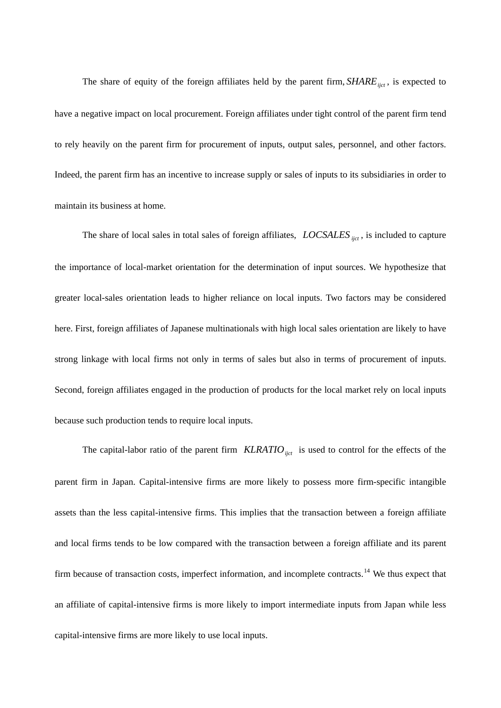The share of equity of the foreign affiliates held by the parent firm,  $SHARE_{ijct}$ , is expected to have a negative impact on local procurement. Foreign affiliates under tight control of the parent firm tend to rely heavily on the parent firm for procurement of inputs, output sales, personnel, and other factors. Indeed, the parent firm has an incentive to increase supply or sales of inputs to its subsidiaries in order to maintain its business at home.

The share of local sales in total sales of foreign affiliates, *LOCSALES ijct*, is included to capture the importance of local-market orientation for the determination of input sources. We hypothesize that greater local-sales orientation leads to higher reliance on local inputs. Two factors may be considered here. First, foreign affiliates of Japanese multinationals with high local sales orientation are likely to have strong linkage with local firms not only in terms of sales but also in terms of procurement of inputs. Second, foreign affiliates engaged in the production of products for the local market rely on local inputs because such production tends to require local inputs.

The capital-labor ratio of the parent firm  $KLRATION_{ijct}$  is used to control for the effects of the parent firm in Japan. Capital-intensive firms are more likely to possess more firm-specific intangible assets than the less capital-intensive firms. This implies that the transaction between a foreign affiliate and local firms tends to be low compared with the transaction between a foreign affiliate and its parent firm because of transaction costs, imperfect information, and incomplete contracts.<sup>[14](#page-29-1)</sup> We thus expect that an affiliate of capital-intensive firms is more likely to import intermediate inputs from Japan while less capital-intensive firms are more likely to use local inputs.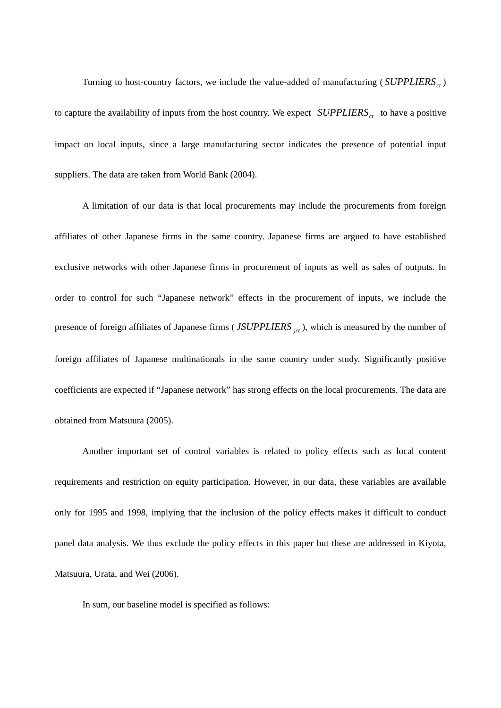Turning to host-country factors, we include the value-added of manufacturing  $(SUPPLIERS_{ct})$ to capture the availability of inputs from the host country. We expect  $SUPPLIERS_{ct}$  to have a positive impact on local inputs, since a large manufacturing sector indicates the presence of potential input suppliers. The data are taken from World Bank (2004).

A limitation of our data is that local procurements may include the procurements from foreign affiliates of other Japanese firms in the same country. Japanese firms are argued to have established exclusive networks with other Japanese firms in procurement of inputs as well as sales of outputs. In order to control for such "Japanese network" effects in the procurement of inputs, we include the presence of foreign affiliates of Japanese firms (*JSUPPLIERS*<sub>*jct*</sub>), which is measured by the number of foreign affiliates of Japanese multinationals in the same country under study. Significantly positive coefficients are expected if "Japanese network" has strong effects on the local procurements. The data are obtained from Matsuura (2005).

Another important set of control variables is related to policy effects such as local content requirements and restriction on equity participation. However, in our data, these variables are available only for 1995 and 1998, implying that the inclusion of the policy effects makes it difficult to conduct panel data analysis. We thus exclude the policy effects in this paper but these are addressed in Kiyota, Matsuura, Urata, and Wei (2006).

In sum, our baseline model is specified as follows: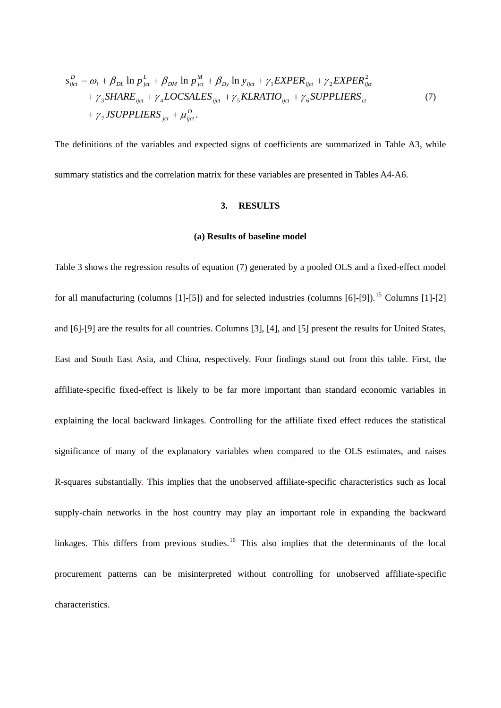$$
s_{ijct}^{D} = \omega_i + \beta_{DL} \ln p_{jet}^{L} + \beta_{DM} \ln p_{jet}^{M} + \beta_{Dy} \ln y_{ijct} + \gamma_1 EXPER_{ijct} + \gamma_2 EXPER_{ijct}^{2}
$$

$$
+ \gamma_3 SHARE_{ijct} + \gamma_4 LOCSALES_{ijct} + \gamma_5 KLRATIO_{ijct} + \gamma_6 SUPPLIERS_{ct}
$$

$$
+ \gamma_7 JSUPPLIERS_{jet} + \mu_{ijct}^{D}.
$$
 (7)

The definitions of the variables and expected signs of coefficients are summarized in Table A3, while summary statistics and the correlation matrix for these variables are presented in Tables A4-A6.

### **3. RESULTS**

## **(a) Results of baseline model**

Table 3 shows the regression results of equation (7) generated by a pooled OLS and a fixed-effect model for all manufacturing (columns  $[1]-[5]$ ) and for selected industries (columns  $[6]-[9]$ ).<sup>[15](#page-29-1)</sup> Columns  $[1]-[2]$ and [6]-[9] are the results for all countries. Columns [3], [4], and [5] present the results for United States, East and South East Asia, and China, respectively. Four findings stand out from this table. First, the affiliate-specific fixed-effect is likely to be far more important than standard economic variables in explaining the local backward linkages. Controlling for the affiliate fixed effect reduces the statistical significance of many of the explanatory variables when compared to the OLS estimates, and raises R-squares substantially. This implies that the unobserved affiliate-specific characteristics such as local supply-chain networks in the host country may play an important role in expanding the backward linkages. This differs from previous studies.<sup>[16](#page-29-1)</sup> This also implies that the determinants of the local procurement patterns can be misinterpreted without controlling for unobserved affiliate-specific characteristics.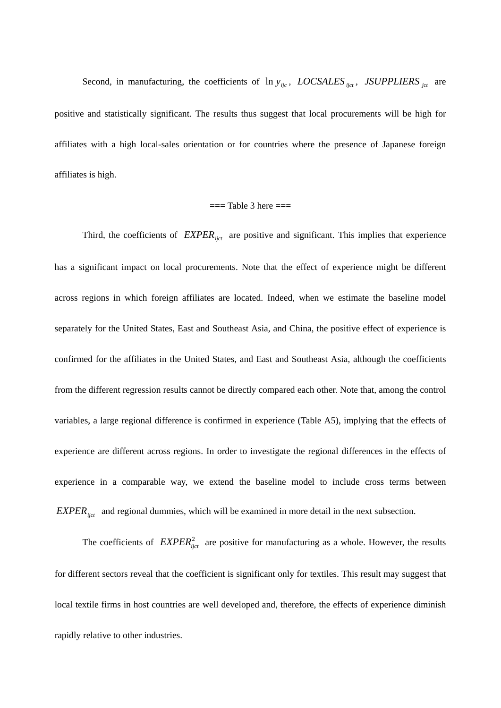Second, in manufacturing, the coefficients of  $\ln y_{ijc}$ , *LOCSALES*  $\frac{1}{ijct}$ , *JSUPPLIERS*  $\frac{1}{jct}$  are positive and statistically significant. The results thus suggest that local procurements will be high for affiliates with a high local-sales orientation or for countries where the presence of Japanese foreign affiliates is high.

### $==$  Table 3 here  $==$

Third, the coefficients of  $EXPER_{ijct}$  are positive and significant. This implies that experience has a significant impact on local procurements. Note that the effect of experience might be different across regions in which foreign affiliates are located. Indeed, when we estimate the baseline model separately for the United States, East and Southeast Asia, and China, the positive effect of experience is confirmed for the affiliates in the United States, and East and Southeast Asia, although the coefficients from the different regression results cannot be directly compared each other. Note that, among the control variables, a large regional difference is confirmed in experience (Table A5), implying that the effects of experience are different across regions. In order to investigate the regional differences in the effects of experience in a comparable way, we extend the baseline model to include cross terms between  $EXPER_{ijct}$  and regional dummies, which will be examined in more detail in the next subsection.

The coefficients of  $EXPER_{ijct}^2$  are positive for manufacturing as a whole. However, the results for different sectors reveal that the coefficient is significant only for textiles. This result may suggest that local textile firms in host countries are well developed and, therefore, the effects of experience diminish rapidly relative to other industries.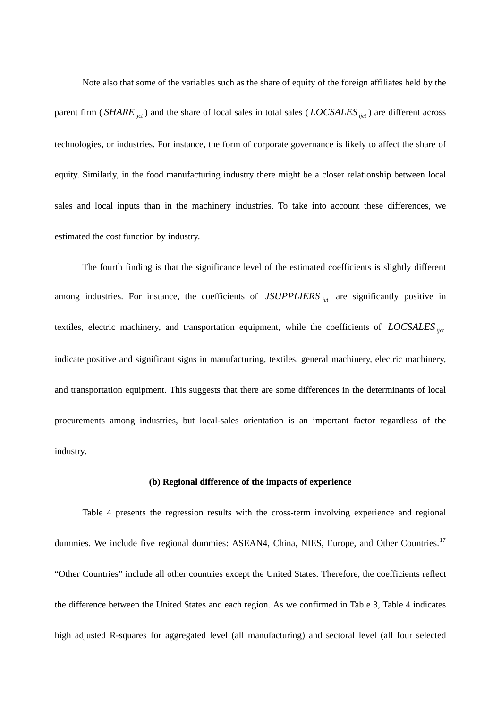Note also that some of the variables such as the share of equity of the foreign affiliates held by the parent firm (*SHARE<sub>ijct</sub>*) and the share of local sales in total sales (*LOCSALES*<sub>*ijct*</sub>) are different across technologies, or industries. For instance, the form of corporate governance is likely to affect the share of equity. Similarly, in the food manufacturing industry there might be a closer relationship between local sales and local inputs than in the machinery industries. To take into account these differences, we estimated the cost function by industry.

The fourth finding is that the significance level of the estimated coefficients is slightly different among industries. For instance, the coefficients of *JSUPPLIERS* <sub>jct</sub> are significantly positive in textiles, electric machinery, and transportation equipment, while the coefficients of *LOCSALES* <sub>ijct</sub> indicate positive and significant signs in manufacturing, textiles, general machinery, electric machinery, and transportation equipment. This suggests that there are some differences in the determinants of local procurements among industries, but local-sales orientation is an important factor regardless of the industry.

## **(b) Regional difference of the impacts of experience**

Table 4 presents the regression results with the cross-term involving experience and regional dummies. We include five regional dummies: ASEAN4, China, NIES, Europe, and Other Countries.<sup>[17](#page-29-1)</sup> "Other Countries" include all other countries except the United States. Therefore, the coefficients reflect the difference between the United States and each region. As we confirmed in Table 3, Table 4 indicates high adjusted R-squares for aggregated level (all manufacturing) and sectoral level (all four selected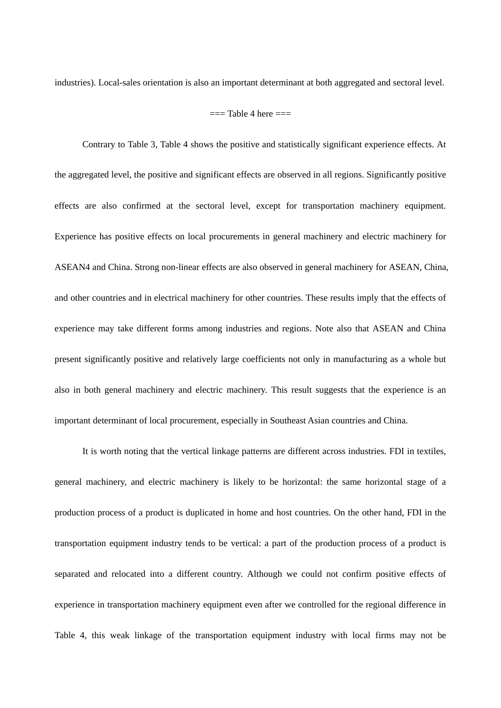industries). Local-sales orientation is also an important determinant at both aggregated and sectoral level.

### $==$  Table 4 here  $==$

Contrary to Table 3, Table 4 shows the positive and statistically significant experience effects. At the aggregated level, the positive and significant effects are observed in all regions. Significantly positive effects are also confirmed at the sectoral level, except for transportation machinery equipment. Experience has positive effects on local procurements in general machinery and electric machinery for ASEAN4 and China. Strong non-linear effects are also observed in general machinery for ASEAN, China, and other countries and in electrical machinery for other countries. These results imply that the effects of experience may take different forms among industries and regions. Note also that ASEAN and China present significantly positive and relatively large coefficients not only in manufacturing as a whole but also in both general machinery and electric machinery. This result suggests that the experience is an important determinant of local procurement, especially in Southeast Asian countries and China.

It is worth noting that the vertical linkage patterns are different across industries. FDI in textiles, general machinery, and electric machinery is likely to be horizontal: the same horizontal stage of a production process of a product is duplicated in home and host countries. On the other hand, FDI in the transportation equipment industry tends to be vertical: a part of the production process of a product is separated and relocated into a different country. Although we could not confirm positive effects of experience in transportation machinery equipment even after we controlled for the regional difference in Table 4, this weak linkage of the transportation equipment industry with local firms may not be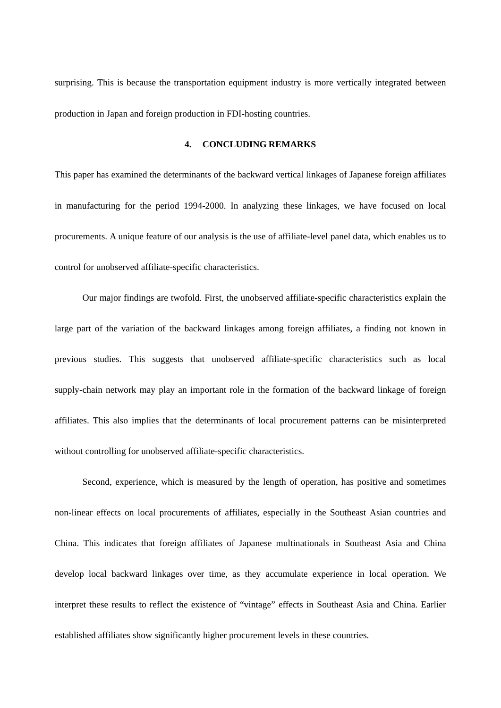surprising. This is because the transportation equipment industry is more vertically integrated between production in Japan and foreign production in FDI-hosting countries.

# **4. CONCLUDING REMARKS**

This paper has examined the determinants of the backward vertical linkages of Japanese foreign affiliates in manufacturing for the period 1994-2000. In analyzing these linkages, we have focused on local procurements. A unique feature of our analysis is the use of affiliate-level panel data, which enables us to control for unobserved affiliate-specific characteristics.

Our major findings are twofold. First, the unobserved affiliate-specific characteristics explain the large part of the variation of the backward linkages among foreign affiliates, a finding not known in previous studies. This suggests that unobserved affiliate-specific characteristics such as local supply-chain network may play an important role in the formation of the backward linkage of foreign affiliates. This also implies that the determinants of local procurement patterns can be misinterpreted without controlling for unobserved affiliate-specific characteristics.

Second, experience, which is measured by the length of operation, has positive and sometimes non-linear effects on local procurements of affiliates, especially in the Southeast Asian countries and China. This indicates that foreign affiliates of Japanese multinationals in Southeast Asia and China develop local backward linkages over time, as they accumulate experience in local operation. We interpret these results to reflect the existence of "vintage" effects in Southeast Asia and China. Earlier established affiliates show significantly higher procurement levels in these countries.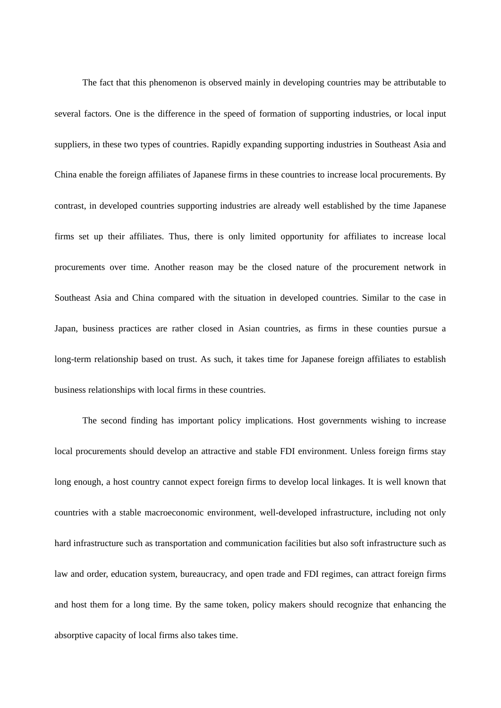The fact that this phenomenon is observed mainly in developing countries may be attributable to several factors. One is the difference in the speed of formation of supporting industries, or local input suppliers, in these two types of countries. Rapidly expanding supporting industries in Southeast Asia and China enable the foreign affiliates of Japanese firms in these countries to increase local procurements. By contrast, in developed countries supporting industries are already well established by the time Japanese firms set up their affiliates. Thus, there is only limited opportunity for affiliates to increase local procurements over time. Another reason may be the closed nature of the procurement network in Southeast Asia and China compared with the situation in developed countries. Similar to the case in Japan, business practices are rather closed in Asian countries, as firms in these counties pursue a long-term relationship based on trust. As such, it takes time for Japanese foreign affiliates to establish business relationships with local firms in these countries.

The second finding has important policy implications. Host governments wishing to increase local procurements should develop an attractive and stable FDI environment. Unless foreign firms stay long enough, a host country cannot expect foreign firms to develop local linkages. It is well known that countries with a stable macroeconomic environment, well-developed infrastructure, including not only hard infrastructure such as transportation and communication facilities but also soft infrastructure such as law and order, education system, bureaucracy, and open trade and FDI regimes, can attract foreign firms and host them for a long time. By the same token, policy makers should recognize that enhancing the absorptive capacity of local firms also takes time.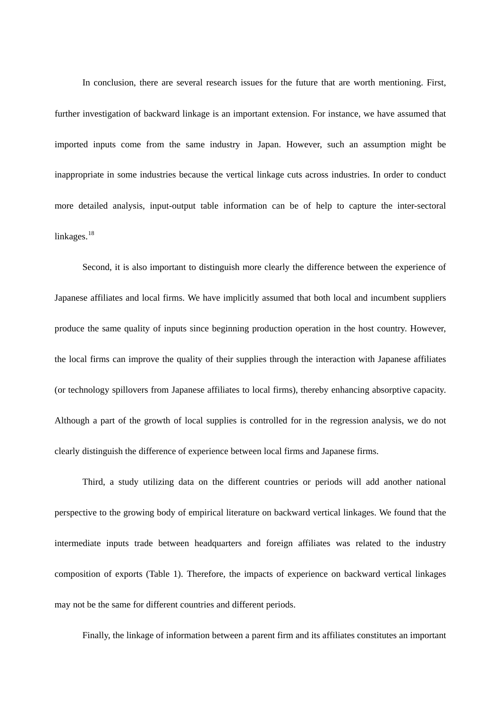In conclusion, there are several research issues for the future that are worth mentioning. First, further investigation of backward linkage is an important extension. For instance, we have assumed that imported inputs come from the same industry in Japan. However, such an assumption might be inappropriate in some industries because the vertical linkage cuts across industries. In order to conduct more detailed analysis, input-output table information can be of help to capture the inter-sectoral linkages.<sup>[18](#page-29-1)</sup>

Second, it is also important to distinguish more clearly the difference between the experience of Japanese affiliates and local firms. We have implicitly assumed that both local and incumbent suppliers produce the same quality of inputs since beginning production operation in the host country. However, the local firms can improve the quality of their supplies through the interaction with Japanese affiliates (or technology spillovers from Japanese affiliates to local firms), thereby enhancing absorptive capacity. Although a part of the growth of local supplies is controlled for in the regression analysis, we do not clearly distinguish the difference of experience between local firms and Japanese firms.

Third, a study utilizing data on the different countries or periods will add another national perspective to the growing body of empirical literature on backward vertical linkages. We found that the intermediate inputs trade between headquarters and foreign affiliates was related to the industry composition of exports (Table 1). Therefore, the impacts of experience on backward vertical linkages may not be the same for different countries and different periods.

Finally, the linkage of information between a parent firm and its affiliates constitutes an important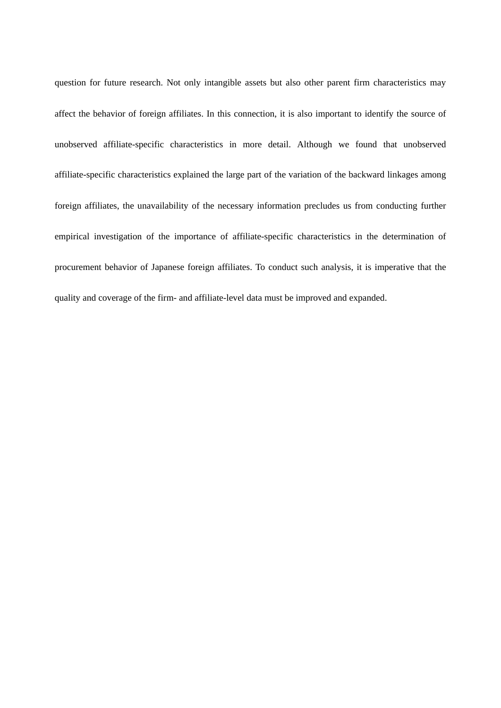question for future research. Not only intangible assets but also other parent firm characteristics may affect the behavior of foreign affiliates. In this connection, it is also important to identify the source of unobserved affiliate-specific characteristics in more detail. Although we found that unobserved affiliate-specific characteristics explained the large part of the variation of the backward linkages among foreign affiliates, the unavailability of the necessary information precludes us from conducting further empirical investigation of the importance of affiliate-specific characteristics in the determination of procurement behavior of Japanese foreign affiliates. To conduct such analysis, it is imperative that the quality and coverage of the firm- and affiliate-level data must be improved and expanded.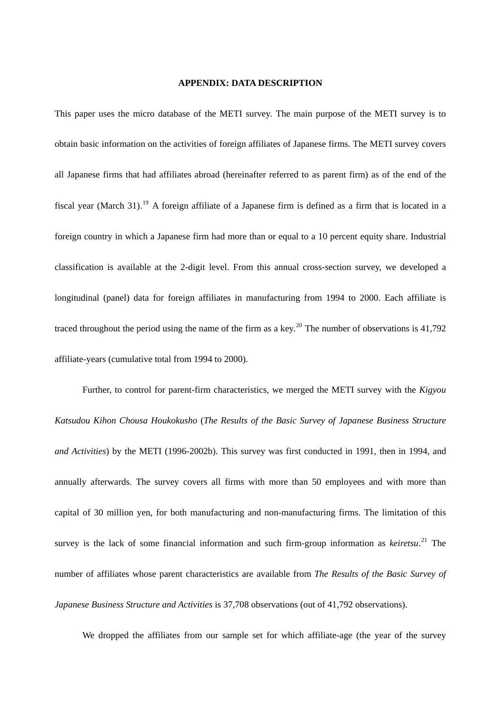### **APPENDIX: DATA DESCRIPTION**

This paper uses the micro database of the METI survey. The main purpose of the METI survey is to obtain basic information on the activities of foreign affiliates of Japanese firms. The METI survey covers all Japanese firms that had affiliates abroad (hereinafter referred to as parent firm) as of the end of the fiscal year (March 31).<sup>[19](#page-29-1)</sup> A foreign affiliate of a Japanese firm is defined as a firm that is located in a foreign country in which a Japanese firm had more than or equal to a 10 percent equity share. Industrial classification is available at the 2-digit level. From this annual cross-section survey, we developed a longitudinal (panel) data for foreign affiliates in manufacturing from 1994 to 2000. Each affiliate is traced throughout the period using the name of the firm as a key.<sup>[20](#page-29-1)</sup> The number of observations is  $41,792$ affiliate-years (cumulative total from 1994 to 2000).

 Further, to control for parent-firm characteristics, we merged the METI survey with the *Kigyou Katsudou Kihon Chousa Houkokusho* (*The Results of the Basic Survey of Japanese Business Structure and Activities*) by the METI (1996-2002b). This survey was first conducted in 1991, then in 1994, and annually afterwards. The survey covers all firms with more than 50 employees and with more than capital of 30 million yen, for both manufacturing and non-manufacturing firms. The limitation of this survey is the lack of some financial information and such firm-group information as *keiretsu*. [21](#page-29-1) The number of affiliates whose parent characteristics are available from *The Results of the Basic Survey of Japanese Business Structure and Activities* is 37,708 observations (out of 41,792 observations).

We dropped the affiliates from our sample set for which affiliate-age (the year of the survey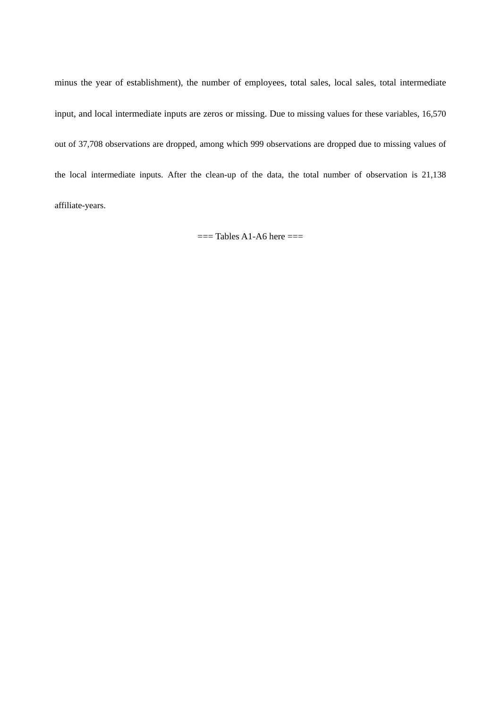minus the year of establishment), the number of employees, total sales, local sales, total intermediate input, and local intermediate inputs are zeros or missing. Due to missing values for these variables, 16,570 out of 37,708 observations are dropped, among which 999 observations are dropped due to missing values of the local intermediate inputs. After the clean-up of the data, the total number of observation is 21,138 affiliate-years.

 $==$ Tables A1-A6 here  $==$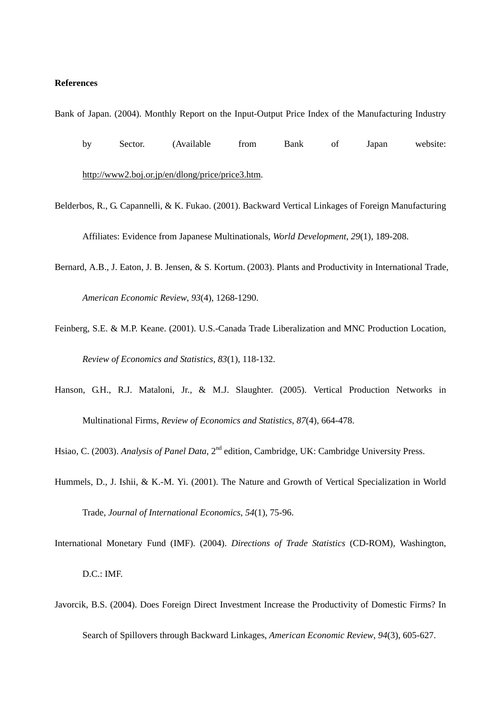# **References**

Bank of Japan. (2004). Monthly Report on the Input-Output Price Index of the Manufacturing Industry

- by Sector. (Available from Bank of Japan website: [http://www2.boj.or.jp/en/dlong/price/price3.htm.](http://www2.boj.or.jp/en/dlong/price/price3.htm)
- Belderbos, R., G. Capannelli, & K. Fukao. (2001). Backward Vertical Linkages of Foreign Manufacturing Affiliates: Evidence from Japanese Multinationals, *World Development*, *29*(1), 189-208.
- Bernard, A.B., J. Eaton, J. B. Jensen, & S. Kortum. (2003). Plants and Productivity in International Trade, *American Economic Review*, *93*(4), 1268-1290.
- Feinberg, S.E. & M.P. Keane. (2001). U.S.-Canada Trade Liberalization and MNC Production Location, *Review of Economics and Statistics*, *83*(1), 118-132.
- Hanson, G.H., R.J. Mataloni, Jr., & M.J. Slaughter. (2005). Vertical Production Networks in Multinational Firms, *Review of Economics and Statistics*, *87*(4), 664-478.

Hsiao, C. (2003). *Analysis of Panel Data*, 2<sup>nd</sup> edition, Cambridge, UK: Cambridge University Press.

- Hummels, D., J. Ishii, & K.-M. Yi. (2001). The Nature and Growth of Vertical Specialization in World Trade, *Journal of International Economics*, *54*(1), 75-96.
- International Monetary Fund (IMF). (2004). *Directions of Trade Statistics* (CD-ROM), Washington, D.C.: IMF.
- Javorcik, B.S. (2004). Does Foreign Direct Investment Increase the Productivity of Domestic Firms? In Search of Spillovers through Backward Linkages, *American Economic Review*, *94*(3), 605-627.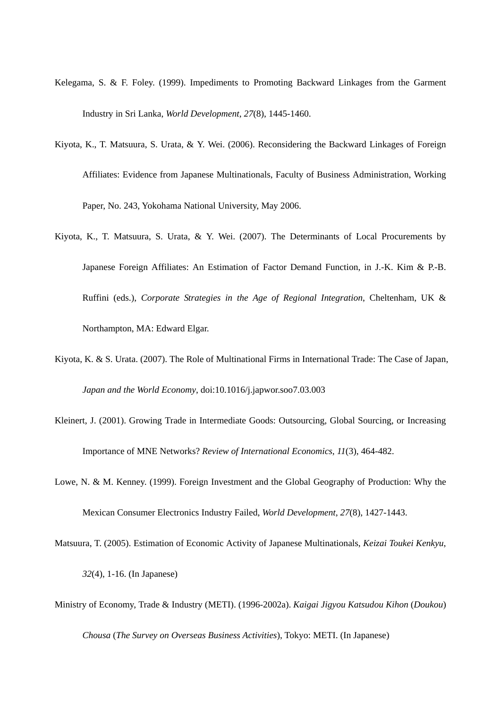- Kelegama, S. & F. Foley. (1999). Impediments to Promoting Backward Linkages from the Garment Industry in Sri Lanka, *World Development*, *27*(8), 1445-1460.
- Kiyota, K., T. Matsuura, S. Urata, & Y. Wei. (2006). Reconsidering the Backward Linkages of Foreign Affiliates: Evidence from Japanese Multinationals, Faculty of Business Administration, Working Paper, No. 243, Yokohama National University, May 2006.
- Kiyota, K., T. Matsuura, S. Urata, & Y. Wei. (2007). The Determinants of Local Procurements by Japanese Foreign Affiliates: An Estimation of Factor Demand Function, in J.-K. Kim & P.-B. Ruffini (eds.), *Corporate Strategies in the Age of Regional Integration*, Cheltenham, UK & Northampton, MA: Edward Elgar.
- Kiyota, K. & S. Urata. (2007). The Role of Multinational Firms in International Trade: The Case of Japan, *Japan and the World Economy*, doi:10.1016/j.japwor.soo7.03.003
- Kleinert, J. (2001). Growing Trade in Intermediate Goods: Outsourcing, Global Sourcing, or Increasing Importance of MNE Networks? *Review of International Economics*, *11*(3), 464-482.
- Lowe, N. & M. Kenney. (1999). Foreign Investment and the Global Geography of Production: Why the Mexican Consumer Electronics Industry Failed, *World Development*, *27*(8), 1427-1443.
- Matsuura, T. (2005). Estimation of Economic Activity of Japanese Multinationals, *Keizai Toukei Kenkyu*, *32*(4), 1-16. (In Japanese)
- Ministry of Economy, Trade & Industry (METI). (1996-2002a). *Kaigai Jigyou Katsudou Kihon* (*Doukou*)

*Chousa* (*The Survey on Overseas Business Activities*), Tokyo: METI. (In Japanese)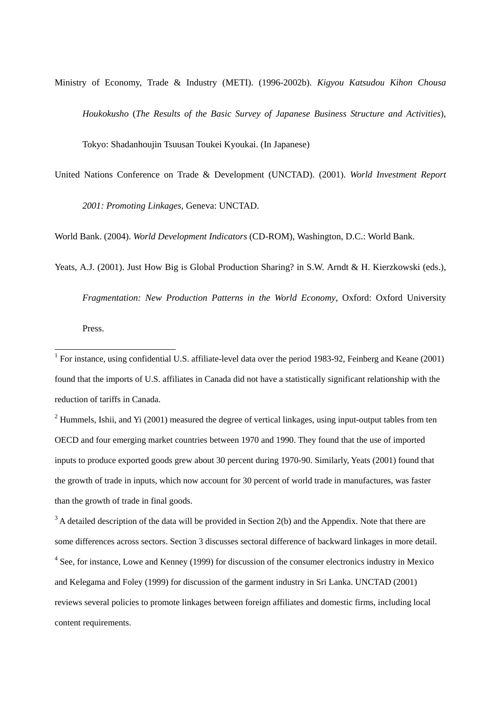Ministry of Economy, Trade & Industry (METI). (1996-2002b). *Kigyou Katsudou Kihon Chousa Houkokusho* (*The Results of the Basic Survey of Japanese Business Structure and Activities*), Tokyo: Shadanhoujin Tsuusan Toukei Kyoukai. (In Japanese)

United Nations Conference on Trade & Development (UNCTAD). (2001). *World Investment Report 2001: Promoting Linkages*, Geneva: UNCTAD.

World Bank. (2004). *World Development Indicators* (CD-ROM), Washington, D.C.: World Bank.

Yeats, A.J. (2001). Just How Big is Global Production Sharing? in S.W. Arndt & H. Kierzkowski (eds.),

*Fragmentation: New Production Patterns in the World Economy*, Oxford: Oxford University

Press.

<sup>1</sup> For instance, using confidential U.S. affiliate-level data over the period 1983-92, Feinberg and Keane (2001) found that the imports of U.S. affiliates in Canada did not have a statistically significant relationship with the reduction of tariffs in Canada.

 $2$  Hummels, Ishii, and Yi (2001) measured the degree of vertical linkages, using input-output tables from ten OECD and four emerging market countries between 1970 and 1990. They found that the use of imported inputs to produce exported goods grew about 30 percent during 1970-90. Similarly, Yeats (2001) found that the growth of trade in inputs, which now account for 30 percent of world trade in manufactures, was faster than the growth of trade in final goods.

 $3$  A detailed description of the data will be provided in Section 2(b) and the Appendix. Note that there are some differences across sectors. Section 3 discusses sectoral difference of backward linkages in more detail. <sup>4</sup> See, for instance, Lowe and Kenney (1999) for discussion of the consumer electronics industry in Mexico and Kelegama and Foley (1999) for discussion of the garment industry in Sri Lanka. UNCTAD (2001) reviews several policies to promote linkages between foreign affiliates and domestic firms, including local content requirements.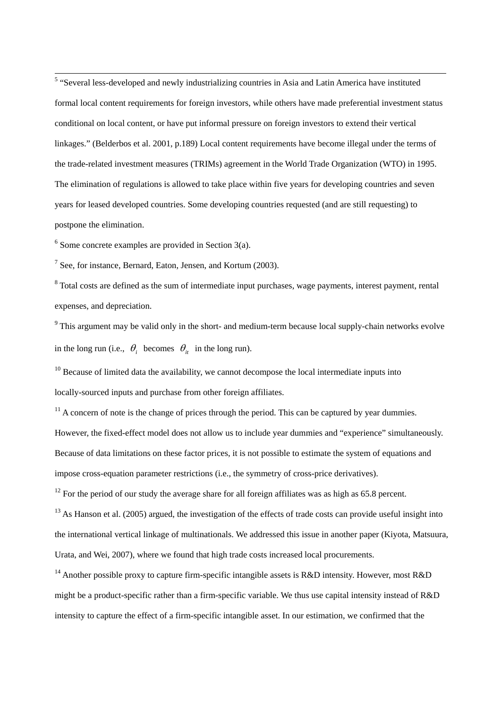<sup>5</sup> "Several less-developed and newly industrializing countries in Asia and Latin America have instituted formal local content requirements for foreign investors, while others have made preferential investment status conditional on local content, or have put informal pressure on foreign investors to extend their vertical linkages." (Belderbos et al. 2001, p.189) Local content requirements have become illegal under the terms of the trade-related investment measures (TRIMs) agreement in the World Trade Organization (WTO) in 1995. The elimination of regulations is allowed to take place within five years for developing countries and seven years for leased developed countries. Some developing countries requested (and are still requesting) to postpone the elimination.

 $6$  Some concrete examples are provided in Section 3(a).

 $7$  See, for instance, Bernard, Eaton, Jensen, and Kortum (2003).

<sup>8</sup> Total costs are defined as the sum of intermediate input purchases, wage payments, interest payment, rental expenses, and depreciation.

in the long run (i.e.,  $\theta_i$  becomes  $\theta_{it}$  in the long run).  $9$  This argument may be valid only in the short- and medium-term because local supply-chain networks evolve

 $10$  Because of limited data the availability, we cannot decompose the local intermediate inputs into locally-sourced inputs and purchase from other foreign affiliates.

 $11$  A concern of note is the change of prices through the period. This can be captured by year dummies. However, the fixed-effect model does not allow us to include year dummies and "experience" simultaneously. Because of data limitations on these factor prices, it is not possible to estimate the system of equations and impose cross-equation parameter restrictions (i.e., the symmetry of cross-price derivatives).

 $12$  For the period of our study the average share for all foreign affiliates was as high as 65.8 percent.

 $13$  As Hanson et al. (2005) argued, the investigation of the effects of trade costs can provide useful insight into the international vertical linkage of multinationals. We addressed this issue in another paper (Kiyota, Matsuura, Urata, and Wei, 2007), where we found that high trade costs increased local procurements.

<sup>14</sup> Another possible proxy to capture firm-specific intangible assets is R&D intensity. However, most R&D might be a product-specific rather than a firm-specific variable. We thus use capital intensity instead of R&D intensity to capture the effect of a firm-specific intangible asset. In our estimation, we confirmed that the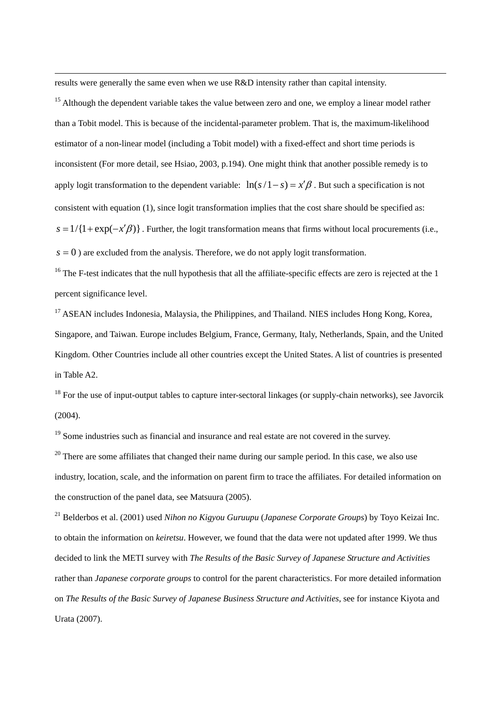<span id="page-29-1"></span>results were generally the same even when we use R&D intensity rather than capital intensity.

 $\overline{a}$ 

<sup>15</sup> Although the dependent variable takes the value between zero and one, we employ a linear model rather than a Tobit model. This is because of the incidental-parameter problem. That is, the maximum-likelihood estimator of a non-linear model (including a Tobit model) with a fixed-effect and short time periods is inconsistent (For more detail, see Hsiao, 2003, p.194). One might think that another possible remedy is to apply logit transformation to the dependent variable:  $\ln(s/1-s) = x'\beta$ . But such a specification is not  $s = 1/{1 + \exp(-x'\beta)}$ . Further, the logit transformation means that firms without local procurements (i.e., consistent with equation (1), since logit transformation implies that the cost share should be specified as:  $s = 0$ ) are excluded from the analysis. Therefore, we do not apply logit transformation.

 $16$  The F-test indicates that the null hypothesis that all the affiliate-specific effects are zero is rejected at the 1 percent significance level.

 $17$  ASEAN includes Indonesia, Malaysia, the Philippines, and Thailand. NIES includes Hong Kong, Korea, Singapore, and Taiwan. Europe includes Belgium, France, Germany, Italy, Netherlands, Spain, and the United Kingdom. Other Countries include all other countries except the United States. A list of countries is presented in Table A2.

<span id="page-29-0"></span> $18$  For the use of input-output tables to capture inter-sectoral linkages (or supply-chain networks), see Javorcik (2004).

<sup>19</sup> Some industries such as financial and insurance and real estate are not covered in the survey.

 $20$  There are some affiliates that changed their name during our sample period. In this case, we also use industry, location, scale, and the information on parent firm to trace the affiliates. For detailed information on the construction of the panel data, see Matsuura (2005).

21 Belderbos et al. (2001) used *Nihon no Kigyou Guruupu* (*Japanese Corporate Groups*) by Toyo Keizai Inc. to obtain the information on *keiretsu*. However, we found that the data were not updated after 1999. We thus decided to link the METI survey with *The Results of the Basic Survey of Japanese Structure and Activities* rather than *Japanese corporate groups* to control for the parent characteristics. For more detailed information on *The Results of the Basic Survey of Japanese Business Structure and Activities*, see for instance Kiyota and Urata (2007).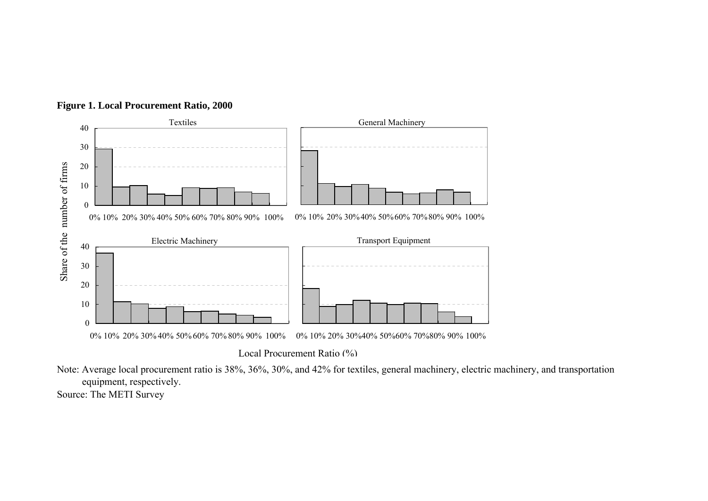



Local Procurement Ratio (%)

Note: Average local procurement ratio is 38%, 36%, 30%, and 42% for textiles, general machinery, electric machinery, and transportation equipment, respectively. Source: The METI Survey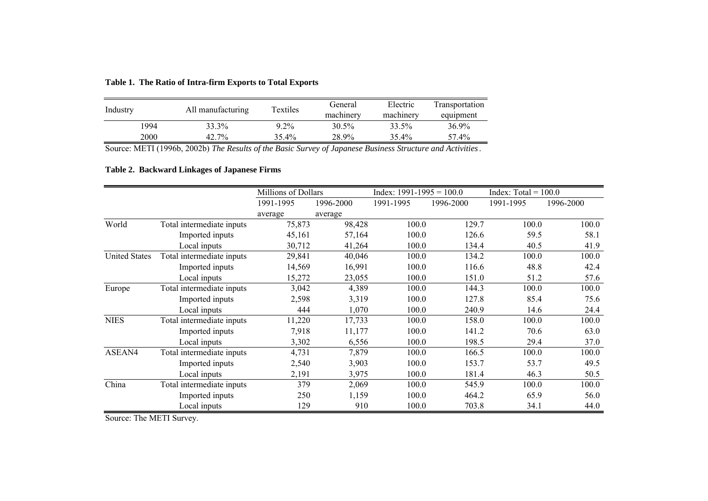**Table 1. The Ratio of Intra-firm Exports to Total Exports**

| Industry | All manufacturing | Textiles | General<br>machinery | Electric<br>machinery | Transportation<br>equipment |
|----------|-------------------|----------|----------------------|-----------------------|-----------------------------|
| 1994     | 33.3%             | $9.2\%$  | 30.5%                | 33.5%                 | 36.9%                       |
| 2000     | 42.7%             | 35.4%    | 28.9%                | 35.4%                 | 57.4%                       |

Source: METI (1996b, 2002b) *The Results of the Basic Survey of Japanese Business Structure and Activities*.

# **Table 2. Backward Linkages of Japanese Firms**

|                      |                           | Millions of Dollars |           | Index: $1991-1995 = 100.0$ |           | Index: $Total = 100.0$ |           |  |
|----------------------|---------------------------|---------------------|-----------|----------------------------|-----------|------------------------|-----------|--|
|                      |                           | 1991-1995           | 1996-2000 | 1991-1995                  | 1996-2000 | 1991-1995              | 1996-2000 |  |
|                      |                           | average             | average   |                            |           |                        |           |  |
| World                | Total intermediate inputs | 75,873              | 98,428    | 100.0                      | 129.7     | 100.0                  | 100.0     |  |
|                      | Imported inputs           | 45,161              | 57,164    | 100.0                      | 126.6     | 59.5                   | 58.1      |  |
|                      | Local inputs              | 30,712              | 41,264    | 100.0                      | 134.4     | 40.5                   | 41.9      |  |
| <b>United States</b> | Total intermediate inputs | 29,841              | 40,046    | 100.0                      | 134.2     | 100.0                  | 100.0     |  |
|                      | Imported inputs           | 14,569              | 16,991    | 100.0                      | 116.6     | 48.8                   | 42.4      |  |
|                      | Local inputs              | 15,272              | 23,055    | 100.0                      | 151.0     | 51.2                   | 57.6      |  |
| Europe               | Total intermediate inputs | 3,042               | 4,389     | 100.0                      | 144.3     | 100.0                  | 100.0     |  |
|                      | Imported inputs           | 2,598               | 3,319     | 100.0                      | 127.8     | 85.4                   | 75.6      |  |
|                      | Local inputs              | 444                 | 1,070     | 100.0                      | 240.9     | 14.6                   | 24.4      |  |
| <b>NIES</b>          | Total intermediate inputs | 11,220              | 17,733    | 100.0                      | 158.0     | 100.0                  | 100.0     |  |
|                      | Imported inputs           | 7,918               | 11,177    | 100.0                      | 141.2     | 70.6                   | 63.0      |  |
|                      | Local inputs              | 3,302               | 6,556     | 100.0                      | 198.5     | 29.4                   | 37.0      |  |
| ASEAN4               | Total intermediate inputs | 4,731               | 7,879     | 100.0                      | 166.5     | 100.0                  | 100.0     |  |
|                      | Imported inputs           | 2,540               | 3,903     | 100.0                      | 153.7     | 53.7                   | 49.5      |  |
|                      | Local inputs              | 2,191               | 3,975     | 100.0                      | 181.4     | 46.3                   | 50.5      |  |
| China                | Total intermediate inputs | 379                 | 2,069     | 100.0                      | 545.9     | 100.0                  | 100.0     |  |
|                      | Imported inputs           | 250                 | 1,159     | 100.0                      | 464.2     | 65.9                   | 56.0      |  |
|                      | Local inputs              | 129                 | 910       | 100.0                      | 703.8     | 34.1                   | 44.0      |  |

Source: The METI Survey.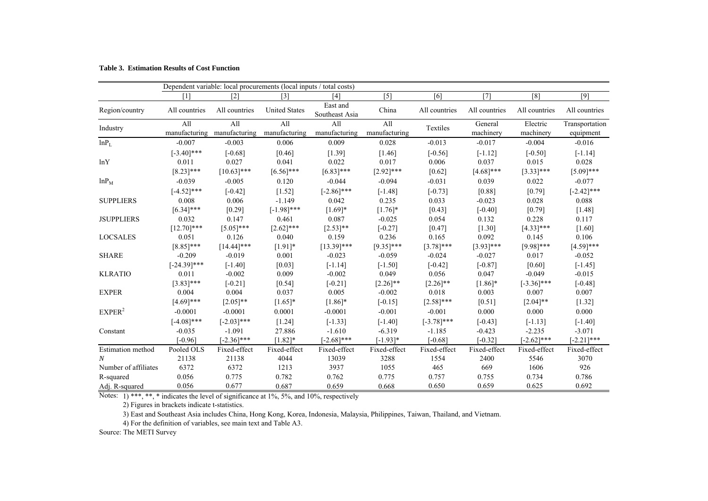| <b>Table 3. Estimation Results of Cost Function</b> |  |  |  |  |  |
|-----------------------------------------------------|--|--|--|--|--|
|-----------------------------------------------------|--|--|--|--|--|

|                          |                |                   | Dependent variable: local procurements (local inputs / total costs) |                            |                   |               |               |               |                |
|--------------------------|----------------|-------------------|---------------------------------------------------------------------|----------------------------|-------------------|---------------|---------------|---------------|----------------|
|                          | [1]            | $\lceil 2 \rceil$ | $\lceil 3 \rceil$                                                   | [4]                        | $\lceil 5 \rceil$ | [6]           | [7]           | [8]           | [9]            |
| Region/country           | All countries  | All countries     | <b>United States</b>                                                | East and<br>Southeast Asia | China             | All countries | All countries | All countries | All countries  |
| Industry                 | All            | All               | All                                                                 | All                        | All               | Textiles      | General       | Electric      | Transportation |
|                          | manufacturing  | manufacturing     | manufacturing                                                       | manufacturing              | manufacturing     |               | machinery     | machinery     | equipment      |
| lnP <sub>L</sub>         | $-0.007$       | $-0.003$          | 0.006                                                               | 0.009                      | 0.028             | $-0.013$      | $-0.017$      | $-0.004$      | $-0.016$       |
|                          | $[-3.40]$ ***  | $[-0.68]$         | [0.46]                                                              | [1.39]                     | [1.46]            | $[-0.56]$     | $[-1.12]$     | $[-0.50]$     | $[-1.14]$      |
| lnY                      | 0.011          | 0.027             | 0.041                                                               | 0.022                      | 0.017             | 0.006         | 0.037         | 0.015         | 0.028          |
|                          | $[8.23]$ ***   | $[10.63]***$      | $[6.56]$ ***                                                        | $[6.83]$ ***               | $[2.92]$ ***      | [0.62]        | $[4.68]$ ***  | $[3.33]***$   | $[5.09]$ ***   |
| $lnP_M$                  | $-0.039$       | $-0.005$          | 0.120                                                               | $-0.044$                   | $-0.094$          | $-0.031$      | 0.039         | 0.022         | $-0.077$       |
|                          | $[-4.52]$ ***  | $[-0.42]$         | $[1.52]$                                                            | $[-2.86]$ ***              | $[-1.48]$         | $[-0.73]$     | [0.88]        | [0.79]        | $[-2.42]$ ***  |
| <b>SUPPLIERS</b>         | 0.008          | 0.006             | $-1.149$                                                            | 0.042                      | 0.235             | 0.033         | $-0.023$      | 0.028         | 0.088          |
|                          | $[6.34]$ ***   | [0.29]            | $[-1.98]$ ***                                                       | $[1.69]*$                  | $[1.76]$ *        | [0.43]        | $[-0.40]$     | [0.79]        | [1.48]         |
| <b>JSUPPLIERS</b>        | 0.032          | 0.147             | 0.461                                                               | 0.087                      | $-0.025$          | 0.054         | 0.132         | 0.228         | 0.117          |
|                          | $[12.70]$ ***  | $[5.05]$ ***      | $[2.62]$ ***                                                        | $[2.53]$ **                | $[-0.27]$         | [0.47]        | [1.30]        | $[4.33]$ ***  | $[1.60]$       |
| <b>LOCSALES</b>          | 0.051          | 0.126             | 0.040                                                               | 0.159                      | 0.236             | 0.165         | 0.092         | 0.145         | 0.106          |
|                          | $[8.85]$ ***   | $[14.44]$ ***     | $[1.91]$ *                                                          | $[13.39]$ ***              | $[9.35]$ ***      | $[3.78]$ ***  | $[3.93]$ ***  | $[9.98]$ ***  | $[4.59]$ ***   |
| <b>SHARE</b>             | $-0.209$       | $-0.019$          | 0.001                                                               | $-0.023$                   | $-0.059$          | $-0.024$      | $-0.027$      | 0.017         | $-0.052$       |
|                          | $[-24.39]$ *** | $[-1.40]$         | [0.03]                                                              | $[-1.14]$                  | $[-1.50]$         | $[-0.42]$     | $[-0.87]$     | [0.60]        | $[-1.45]$      |
| <b>KLRATIO</b>           | 0.011          | $-0.002$          | 0.009                                                               | $-0.002$                   | 0.049             | 0.056         | 0.047         | $-0.049$      | $-0.015$       |
|                          | $[3.83]$ ***   | $[-0.21]$         | [0.54]                                                              | $[-0.21]$                  | $[2.26]$ **       | $[2.26]$ **   | $[1.86]$ *    | $[-3.36]$ *** | $[-0.48]$      |
| <b>EXPER</b>             | 0.004          | 0.004             | 0.037                                                               | 0.005                      | $-0.002$          | 0.018         | 0.003         | 0.007         | 0.007          |
|                          | $[4.69]$ ***   | $[2.05]$ **       | $[1.65]$ *                                                          | $[1.86]$ *                 | $[-0.15]$         | $[2.58]$ ***  | [0.51]        | $[2.04]$ **   | $[1.32]$       |
| EXPER <sup>2</sup>       | $-0.0001$      | $-0.0001$         | 0.0001                                                              | $-0.0001$                  | $-0.001$          | $-0.001$      | 0.000         | 0.000         | 0.000          |
|                          | $[-4.08]$ ***  | $[-2.03]$ ***     | $[1.24]$                                                            | $[-1.33]$                  | $[-1.40]$         | $[-3.78]$ *** | $[-0.43]$     | $[-1.13]$     | $[-1.40]$      |
| Constant                 | $-0.035$       | $-1.091$          | 27.886                                                              | $-1.610$                   | $-6.319$          | $-1.185$      | $-0.423$      | $-2.235$      | $-3.071$       |
|                          | $[-0.96]$      | $[-2.36]$ ***     | $[1.82]*$                                                           | $[-2.68]$ ***              | $[-1.93]*$        | $[-0.68]$     | $[-0.32]$     | $[-2.62]$ *** | $[-2.21]***$   |
| <b>Estimation</b> method | Pooled OLS     | Fixed-effect      | Fixed-effect                                                        | Fixed-effect               | Fixed-effect      | Fixed-effect  | Fixed-effect  | Fixed-effect  | Fixed-effect   |
| $\boldsymbol{N}$         | 21138          | 21138             | 4044                                                                | 13039                      | 3288              | 1554          | 2400          | 5546          | 3070           |
| Number of affiliates     | 6372           | 6372              | 1213                                                                | 3937                       | 1055              | 465           | 669           | 1606          | 926            |
| R-squared                | 0.056          | 0.775             | 0.782                                                               | 0.762                      | 0.775             | 0.757         | 0.755         | 0.734         | 0.786          |
| Adj. R-squared           | 0.056          | 0.677             | 0.687                                                               | 0.659                      | 0.668             | 0.650         | 0.659         | 0.625         | 0.692          |

Notes: 1) \*\*\*, \*\*, \* indicates the level of significance at 1%, 5%, and 10%, respectively

2) Figures in brackets indicate t-statistics.

3) East and Southeast Asia includes China, Hong Kong, Korea, Indonesia, Malaysia, Philippines, Taiwan, Thailand, and Vietnam.

4) For the definition of variables, see main text and Table A3.

Source: The METI Survey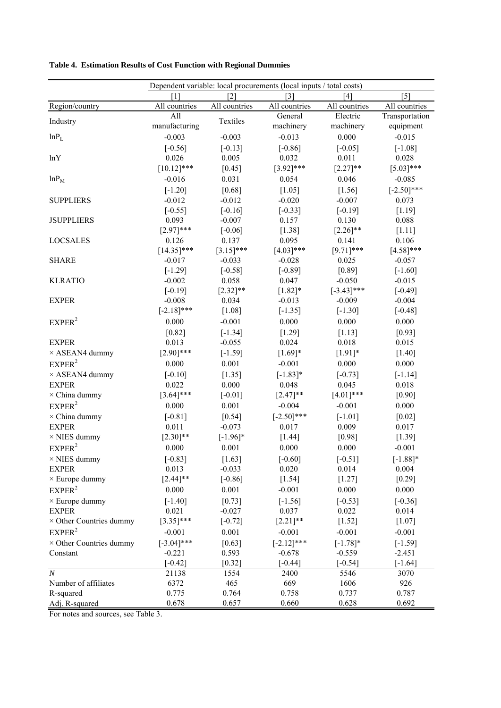|                                |                       |                       | Dependent variable: local procurements (local inputs / total costs) |                           |                       |
|--------------------------------|-----------------------|-----------------------|---------------------------------------------------------------------|---------------------------|-----------------------|
|                                | [1]                   | $\lceil 2 \rceil$     | $\lceil 3 \rceil$                                                   | [4]                       | $\lceil 5 \rceil$     |
| Region/country                 | All countries         | All countries         | All countries                                                       | All countries             | All countries         |
| Industry                       | All                   | Textiles              | General                                                             | Electric                  | Transportation        |
|                                | manufacturing         |                       | machinery                                                           | machinery                 | equipment             |
| lnP <sub>L</sub>               | $-0.003$              | $-0.003$              | $-0.013$                                                            | 0.000                     | $-0.015$              |
|                                | $[-0.56]$             | $[-0.13]$             | $[-0.86]$                                                           | $[-0.05]$                 | $[-1.08]$             |
| lnY                            | 0.026                 | 0.005                 | 0.032                                                               | 0.011                     | 0.028                 |
|                                | $[10.12]$ ***         | $[0.45]$              | $[3.92]$ ***                                                        | $[2.27]$ **               | $[5.03]$ ***          |
| $lnP_M$                        | $-0.016$              | 0.031                 | 0.054                                                               | 0.046                     | $-0.085$              |
|                                | $[-1.20]$             | [0.68]                | $[1.05]$                                                            | [1.56]                    | $[-2.50]$ ***         |
| <b>SUPPLIERS</b>               | $-0.012$              | $-0.012$              | $-0.020$                                                            | $-0.007$                  | 0.073                 |
|                                | $[-0.55]$             | $[-0.16]$             | $[-0.33]$                                                           | $[-0.19]$                 | [1.19]                |
| <b>JSUPPLIERS</b>              | 0.093                 | $-0.007$              | 0.157                                                               | 0.130                     | 0.088                 |
|                                | $[2.97]$ ***          | $[-0.06]$             | [1.38]                                                              | $[2.26]$ **               | $[1.11]$              |
| <b>LOCSALES</b>                | 0.126                 | 0.137                 | 0.095                                                               | 0.141                     | 0.106                 |
|                                | $[14.35]$ ***         | $[3.15]$ ***          | $[4.03]$ ***                                                        | $[9.71]$ ***              | $[4.58]$ ***          |
| <b>SHARE</b>                   | $-0.017$              | $-0.033$              | $-0.028$                                                            | 0.025                     | $-0.057$              |
|                                | $[-1.29]$             | $[-0.58]$             | $[-0.89]$                                                           | [0.89]                    | $[-1.60]$             |
| <b>KLRATIO</b>                 | $-0.002$              | 0.058                 | 0.047                                                               | $-0.050$                  | $-0.015$              |
| <b>EXPER</b>                   | $[-0.19]$<br>$-0.008$ | $[2.32]$ **<br>0.034  | $[1.82]*$<br>$-0.013$                                               | $[-3.43]$ ***<br>$-0.009$ | $[-0.49]$<br>$-0.004$ |
|                                | $[-2.18]$ ***         | $[1.08]$              | $[-1.35]$                                                           | $[-1.30]$                 | $[-0.48]$             |
| EXPER <sup>2</sup>             | 0.000                 | $-0.001$              | 0.000                                                               | 0.000                     | 0.000                 |
|                                |                       |                       |                                                                     |                           |                       |
| <b>EXPER</b>                   | [0.82]<br>0.013       | $[-1.34]$<br>$-0.055$ | $[1.29]$<br>0.024                                                   | [1.13]<br>0.018           | [0.93]<br>0.015       |
| $\times$ ASEAN4 dummy          | $[2.90]$ ***          | $[-1.59]$             | $[1.69]*$                                                           | $[1.91]$ *                | $[1.40]$              |
| EXPER <sup>2</sup>             | 0.000                 | 0.001                 | $-0.001$                                                            | 0.000                     | 0.000                 |
| $\times$ ASEAN4 dummy          | $[-0.10]$             | $[1.35]$              | $[-1.83]*$                                                          | $[-0.73]$                 | $[-1.14]$             |
| <b>EXPER</b>                   | 0.022                 | 0.000                 | 0.048                                                               | 0.045                     | 0.018                 |
| $\times$ China dummy           | $[3.64]$ ***          | $[-0.01]$             | $[2.47]$ **                                                         | $[4.01]***$               | [0.90]                |
| EXPER <sup>2</sup>             | 0.000                 | 0.001                 | $-0.004$                                                            | $-0.001$                  | 0.000                 |
| $\times$ China dummy           | $[-0.81]$             | $[0.54]$              | $[-2.50]$ ***                                                       | $[-1.01]$                 | $[0.02]$              |
| <b>EXPER</b>                   | 0.011                 | $-0.073$              | 0.017                                                               | 0.009                     | 0.017                 |
| $\times$ NIES dummy            | $[2.30]$ **           | $[-1.96]$ *           | $[1.44]$                                                            | [0.98]                    | [1.39]                |
| EXPER <sup>2</sup>             | 0.000                 | 0.001                 | 0.000                                                               | 0.000                     | $-0.001$              |
| $\times$ NIES dummy            | $[-0.83]$             | $[1.63]$              | $[-0.60]$                                                           | $[-0.51]$                 | $[-1.88]*$            |
| <b>EXPER</b>                   | 0.013                 | $-0.033$              | 0.020                                                               | 0.014                     | 0.004                 |
| $\times$ Europe dummy          | $[2.44]$ **           | $[-0.86]$             | [1.54]                                                              | [1.27]                    | [0.29]                |
| EXPER <sup>2</sup>             | 0.000                 | 0.001                 | $-0.001$                                                            | 0.000                     | 0.000                 |
| $\times$ Europe dummy          | $[-1.40]$             | [0.73]                | $[-1.56]$                                                           | $[-0.53]$                 | $[-0.36]$             |
| <b>EXPER</b>                   | 0.021                 | $-0.027$              | 0.037                                                               | 0.022                     | 0.014                 |
| $\times$ Other Countries dummy | $[3.35]$ ***          | $[-0.72]$             | $[2.21]$ **                                                         | $[1.52]$                  | $[1.07]$              |
| EXPER <sup>2</sup>             | $-0.001$              | 0.001                 | $-0.001$                                                            | $-0.001$                  | $-0.001$              |
| $\times$ Other Countries dummy | $[-3.04]$ ***         | [0.63]                | $[-2.12]$ ***                                                       | $[-1.78]*$                | $[-1.59]$             |
| Constant                       | $-0.221$              | 0.593                 | $-0.678$                                                            | $-0.559$                  | $-2.451$              |
|                                | $[-0.42]$             | $[0.32]$              | $[-0.44]$                                                           | $[-0.54]$                 | $[-1.64]$             |
| $\boldsymbol{N}$               | 21138                 | 1554                  | 2400                                                                | 5546                      | 3070                  |
| Number of affiliates           | 6372                  | 465                   | 669                                                                 | 1606                      | 926                   |
| R-squared                      | 0.775                 | 0.764                 | 0.758                                                               | 0.737                     | 0.787                 |
| Adj. R-squared                 | 0.678                 | 0.657                 | 0.660                                                               | 0.628                     | 0.692                 |

**Table 4. Estimation Results of Cost Function with Regional Dummies**

For notes and sources, see Table 3.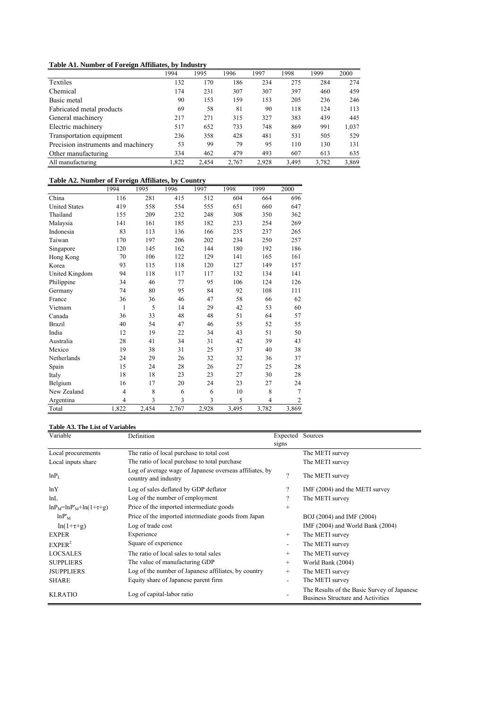# **Table A1. Number of Foreign Affiliates, by Industry**

|                                     | 1994  | 1995  | 1996  | 1997  | 1998  | 1999  | 2000  |
|-------------------------------------|-------|-------|-------|-------|-------|-------|-------|
| Textiles                            | 132   | 170   | 186   | 234   | 275   | 284   | 274   |
| Chemical                            | 174   | 231   | 307   | 307   | 397   | 460   | 459   |
| Basic metal                         | 90    | 153   | 159   | 153   | 205   | 236   | 246   |
| Fabricated metal products           | 69    | 58    | 81    | 90    | 118   | 124   | 113   |
| General machinery                   | 217   | 271   | 315   | 327   | 383   | 439   | 445   |
| Electric machinery                  | 517   | 652   | 733   | 748   | 869   | 991   | 1,037 |
| Transportation equipment            | 236   | 358   | 428   | 481   | 531   | 505   | 529   |
| Precision instruments and machinery | 53    | 99    | 79    | 95    | 110   | 130   | 131   |
| Other manufacturing                 | 334   | 462   | 479   | 493   | 607   | 613   | 635   |
| All manufacturing                   | 1.822 | 2.454 | 2.767 | 2,928 | 3,495 | 3,782 | 3,869 |

# **Table A2. Number of Foreign Affiliates, by Country**

|                      | 1994           | 1995  | 1996  | 1997  | 1998  | 1999  | 2000           |
|----------------------|----------------|-------|-------|-------|-------|-------|----------------|
| China                | 116            | 281   | 415   | 512   | 604   | 664   | 696            |
| <b>United States</b> | 419            | 558   | 554   | 555   | 651   | 660   | 647            |
| Thailand             | 155            | 209   | 232   | 248   | 308   | 350   | 362            |
| Malaysia             | 141            | 161   | 185   | 182   | 233   | 254   | 269            |
| Indonesia            | 83             | 113   | 136   | 166   | 235   | 237   | 265            |
| Taiwan               | 170            | 197   | 206   | 202   | 234   | 250   | 257            |
| Singapore            | 120            | 145   | 162   | 144   | 180   | 192   | 186            |
| Hong Kong            | 70             | 106   | 122   | 129   | 141   | 165   | 161            |
| Korea                | 93             | 115   | 118   | 120   | 127   | 149   | 157            |
| United Kingdom       | 94             | 118   | 117   | 117   | 132   | 134   | 141            |
| Philippine           | 34             | 46    | 77    | 95    | 106   | 124   | 126            |
| Germany              | 74             | 80    | 95    | 84    | 92    | 108   | 111            |
| France               | 36             | 36    | 46    | 47    | 58    | 66    | 62             |
| Vietnam              | $\mathbf{1}$   | 5     | 14    | 29    | 42    | 53    | 60             |
| Canada               | 36             | 33    | 48    | 48    | 51    | 64    | 57             |
| <b>Brazil</b>        | 40             | 54    | 47    | 46    | 55    | 52    | 55             |
| India                | 12             | 19    | 22    | 34    | 43    | 51    | 50             |
| Australia            | 28             | 41    | 34    | 31    | 42    | 39    | 43             |
| Mexico               | 19             | 38    | 31    | 25    | 37    | 40    | 38             |
| Netherlands          | 24             | 29    | 26    | 32    | 32    | 36    | 37             |
| Spain                | 15             | 24    | 28    | 26    | 27    | 25    | 28             |
| Italy                | 18             | 18    | 23    | 23    | 27    | 30    | 28             |
| Belgium              | 16             | 17    | 20    | 24    | 23    | 27    | 24             |
| New Zealand          | $\overline{4}$ | 8     | 6     | 6     | 10    | 8     | $\overline{7}$ |
| Argentina            | $\overline{4}$ | 3     | 3     | 3     | 5     | 4     | $\overline{c}$ |
| Total                | 1,822          | 2,454 | 2,767 | 2,928 | 3,495 | 3,782 | 3,869          |

### **Table A3. The List of Variables**

| Variable                    | Definition                                                                      | Expected Sources         |                                                                                         |
|-----------------------------|---------------------------------------------------------------------------------|--------------------------|-----------------------------------------------------------------------------------------|
|                             |                                                                                 | signs                    |                                                                                         |
| Local procurements          | The ratio of local purchase to total cost                                       |                          | The METI survey                                                                         |
| Local inputs share          | The ratio of local purchase to total purchase                                   |                          | The METI survey                                                                         |
| lnP <sub>L</sub>            | Log of average wage of Japanese overseas affiliates, by<br>country and industry | $\mathcal{P}$            | The METI survey                                                                         |
| lnY                         | Log of sales deflated by GDP deflator                                           | ?                        | IMF (2004) and the METI survey                                                          |
| lnL                         | Log of the number of employment                                                 | $\gamma$                 | The METI survey                                                                         |
| $lnP_M=lnP'_M+ln(1+\tau+g)$ | Price of the imported intermediate goods                                        | $^{+}$                   |                                                                                         |
| $lnP'_{M}$                  | Price of the imported intermediate goods from Japan                             |                          | BOJ (2004) and IMF (2004)                                                               |
| $ln(1+\tau+\alpha)$         | Log of trade cost                                                               |                          | IMF (2004) and World Bank (2004)                                                        |
| <b>EXPER</b>                | Experience                                                                      | $^{+}$                   | The METI survey                                                                         |
| EXPER <sup>2</sup>          | Square of experience                                                            | $\overline{\phantom{a}}$ | The METI survey                                                                         |
| <b>LOCSALES</b>             | The ratio of local sales to total sales                                         | $+$                      | The METI survey                                                                         |
| <b>SUPPLIERS</b>            | The value of manufacturing GDP                                                  | $+$                      | World Bank (2004)                                                                       |
| <b>JSUPPLIERS</b>           | Log of the number of Japanese affiliates, by country                            | $+$                      | The METI survey                                                                         |
| <b>SHARE</b>                | Equity share of Japanese parent firm                                            | $\overline{\phantom{0}}$ | The METI survey                                                                         |
| <b>KLRATIO</b>              | Log of capital-labor ratio                                                      |                          | The Results of the Basic Survey of Japanese<br><b>Business Structure and Activities</b> |